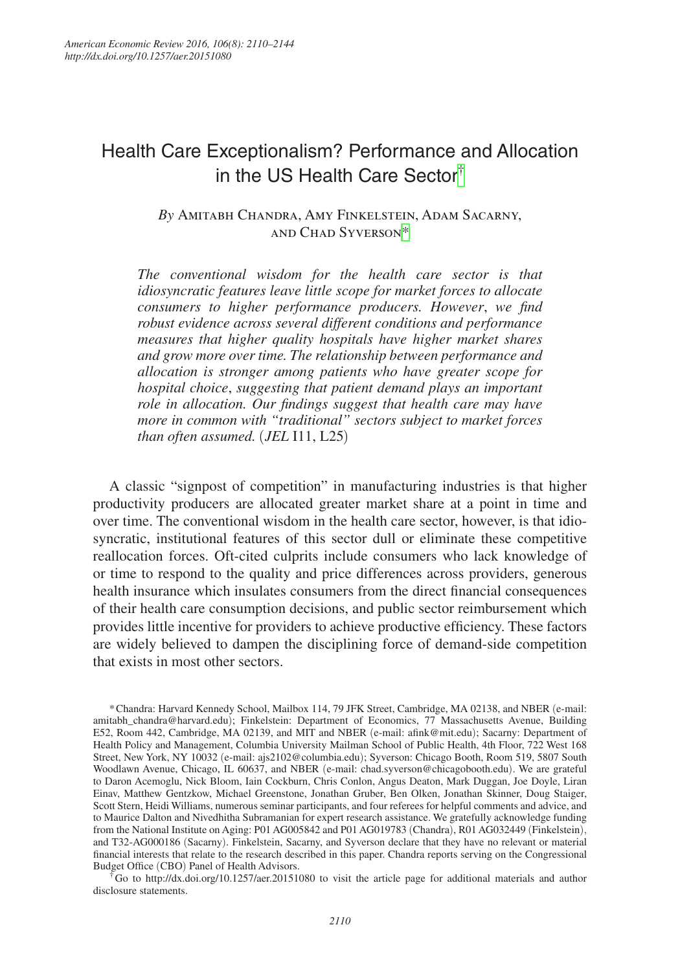# Health Care Exceptionalism? Performance and Allocation in the US Health Care Sector[†](#page-0-0)

# *By* Amitabh Chandra, Amy Finkelstein, Adam Sacarny, and Chad Syverson[\\*](#page-0-1)

*The conventional wisdom for the health care sector is that idiosyncratic features leave little scope for market forces to allocate consumers to higher performance producers. However*, *we find robust evidence across several different conditions and performance measures that higher quality hospitals have higher market shares and grow more over time. The relationship between performance and allocation is stronger among patients who have greater scope for hospital choice*, *suggesting that patient demand plays an important role in allocation. Our findings suggest that health care may have more in common with "traditional" sectors subject to market forces than often assumed.* (*JEL* I11, L25)

A classic "signpost of competition" in manufacturing industries is that higher productivity producers are allocated greater market share at a point in time and over time. The conventional wisdom in the health care sector, however, is that idiosyncratic, institutional features of this sector dull or eliminate these competitive reallocation forces. Oft-cited culprits include consumers who lack knowledge of or time to respond to the quality and price differences across providers, generous health insurance which insulates consumers from the direct financial consequences of their health care consumption decisions, and public sector reimbursement which provides little incentive for providers to achieve productive efficiency. These factors are widely believed to dampen the disciplining force of demand-side competition that exists in most other sectors.

<span id="page-0-1"></span>\*Chandra: Harvard Kennedy School, Mailbox 114, 79 JFK Street, Cambridge, MA 02138, and NBER (e-mail: [amitabh\\_chandra@harvard.edu](mailto:amitabh_chandra@harvard.edu)); Finkelstein: Department of Economics, 77 Massachusetts Avenue, Building E52, Room 442, Cambridge, MA 02139, and MIT and NBER (e-mail: [afink@mit.edu](mailto:afink@mit.edu)); Sacarny: Department of Health Policy and Management, Columbia University Mailman School of Public Health, 4th Floor, 722 West 168 Street, New York, NY 10032 (e-mail: [ajs2102@columbia.edu](mailto:ajs2102@columbia.edu)); Syverson: Chicago Booth, Room 519, 5807 South Woodlawn Avenue, Chicago, IL 60637, and NBER (e-mail: [chad.syverson@chicagobooth.edu](mailto:chad.syverson@chicagobooth.edu)). We are grateful to Daron Acemoglu, Nick Bloom, Iain Cockburn, Chris Conlon, Angus Deaton, Mark Duggan, Joe Doyle, Liran Einav, Matthew Gentzkow, Michael Greenstone, Jonathan Gruber, Ben Olken, Jonathan Skinner, Doug Staiger, Scott Stern, Heidi Williams, numerous seminar participants, and four referees for helpful comments and advice, and to Maurice Dalton and Nivedhitha Subramanian for expert research assistance. We gratefully acknowledge funding from the National Institute on Aging: P01 AG005842 and P01 AG019783 (Chandra), R01 AG032449 (Finkelstein), and T32-AG000186 (Sacarny). Finkelstein, Sacarny, and Syverson declare that they have no relevant or material financial interests that relate to the research described in this paper. Chandra reports serving on the Congressional Budget Office (CBO) Panel of Health Advisors.

<span id="page-0-0"></span>†Go to <http://dx.doi.org/10.1257/aer.20151080>to visit the article page for additional materials and author disclosure statements.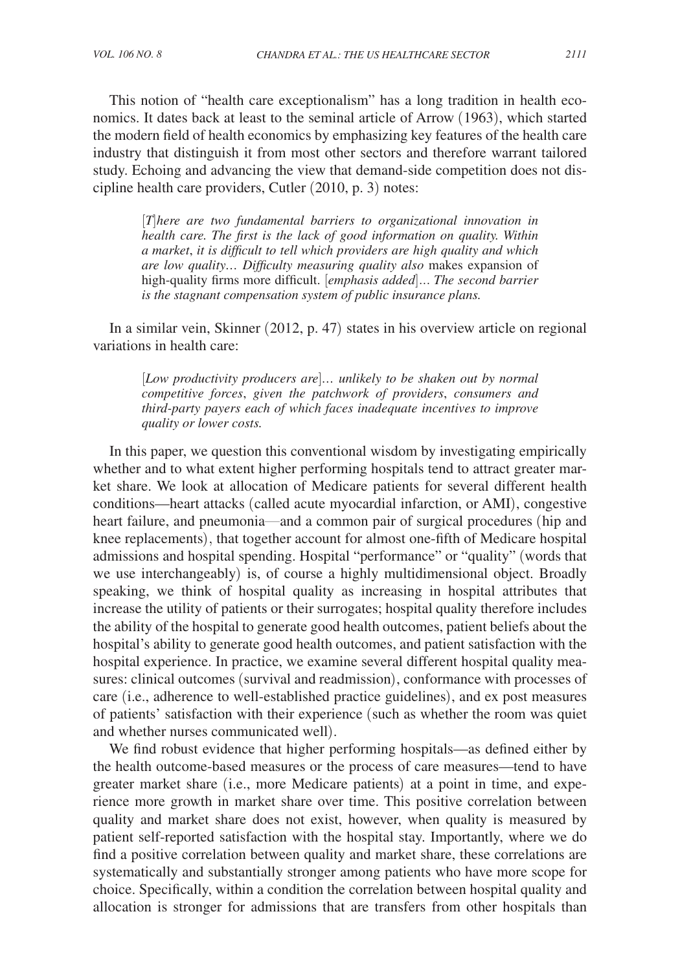This notion of "health care exceptionalism" has a long tradition in health economics. It dates back at least to the seminal article of Arrow (1963), which started the modern field of health economics by emphasizing key features of the health care industry that distinguish it from most other sectors and therefore warrant tailored study. Echoing and advancing the view that demand-side competition does not discipline health care providers, Cutler (2010, p. 3) notes:

[*T*]*here are two fundamental barriers to organizational innovation in health care. The first is the lack of good information on quality. Within a market*, *it is difficult to tell which providers are high quality and which are low quality… Difficulty measuring quality also* makes expansion of high-quality firms more difficult. [*emphasis added*]... *The second barrier is the stagnant compensation system of public insurance plans.*

In a similar vein, Skinner (2012, p. 47) states in his overview article on regional variations in health care:

[*Low productivity producers are*]*… unlikely to be shaken out by normal competitive forces*, *given the patchwork of providers*, *consumers and third-party payers each of which faces inadequate incentives to improve quality or lower costs.*

In this paper, we question this conventional wisdom by investigating empirically whether and to what extent higher performing hospitals tend to attract greater market share. We look at allocation of Medicare patients for several different health conditions—heart attacks (called acute myocardial infarction, or AMI), congestive heart failure, and pneumonia—and a common pair of surgical procedures (hip and knee replacements), that together account for almost one-fifth of Medicare hospital admissions and hospital spending. Hospital "performance" or "quality" (words that we use interchangeably) is, of course a highly multidimensional object. Broadly speaking, we think of hospital quality as increasing in hospital attributes that increase the utility of patients or their surrogates; hospital quality therefore includes the ability of the hospital to generate good health outcomes, patient beliefs about the hospital's ability to generate good health outcomes, and patient satisfaction with the hospital experience. In practice, we examine several different hospital quality measures: clinical outcomes (survival and readmission), conformance with processes of care (i.e., adherence to well-established practice guidelines), and ex post measures of patients' satisfaction with their experience (such as whether the room was quiet and whether nurses communicated well).

We find robust evidence that higher performing hospitals—as defined either by the health outcome-based measures or the process of care measures—tend to have greater market share (i.e., more Medicare patients) at a point in time, and experience more growth in market share over time. This positive correlation between quality and market share does not exist, however, when quality is measured by patient self-reported satisfaction with the hospital stay. Importantly, where we do find a positive correlation between quality and market share, these correlations are systematically and substantially stronger among patients who have more scope for choice. Specifically, within a condition the correlation between hospital quality and allocation is stronger for admissions that are transfers from other hospitals than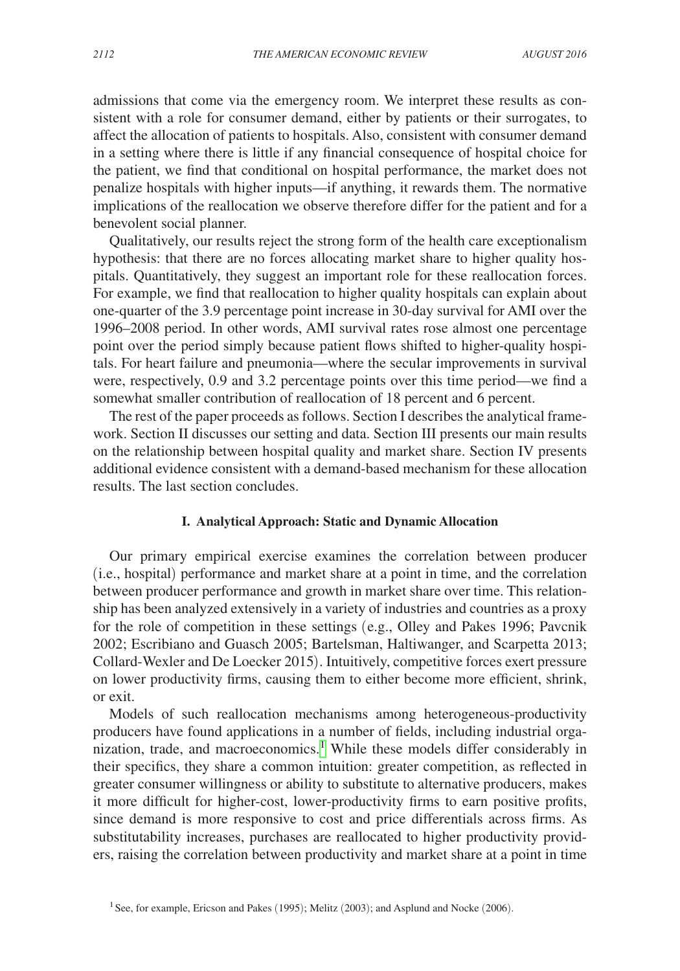admissions that come via the emergency room. We interpret these results as consistent with a role for consumer demand, either by patients or their surrogates, to affect the allocation of patients to hospitals. Also, consistent with consumer demand in a setting where there is little if any financial consequence of hospital choice for the patient, we find that conditional on hospital performance, the market does not penalize hospitals with higher inputs—if anything, it rewards them. The normative implications of the reallocation we observe therefore differ for the patient and for a benevolent social planner.

Qualitatively, our results reject the strong form of the health care exceptionalism hypothesis: that there are no forces allocating market share to higher quality hospitals. Quantitatively, they suggest an important role for these reallocation forces. For example, we find that reallocation to higher quality hospitals can explain about one-quarter of the 3.9 percentage point increase in 30-day survival for AMI over the 1996–2008 period. In other words, AMI survival rates rose almost one percentage point over the period simply because patient flows shifted to higher-quality hospitals. For heart failure and pneumonia—where the secular improvements in survival were, respectively, 0.9 and 3.2 percentage points over this time period—we find a somewhat smaller contribution of reallocation of 18 percent and 6 percent.

The rest of the paper proceeds as follows. Section I describes the analytical framework. Section II discusses our setting and data. Section III presents our main results on the relationship between hospital quality and market share. Section IV presents additional evidence consistent with a demand-based mechanism for these allocation results. The last section concludes.

#### **I. Analytical Approach: Static and Dynamic Allocation**

Our primary empirical exercise examines the correlation between producer (i.e., hospital) performance and market share at a point in time, and the correlation between producer performance and growth in market share over time. This relationship has been analyzed extensively in a variety of industries and countries as a proxy for the role of competition in these settings (e.g., Olley and Pakes 1996; Pavcnik 2002; Escribiano and Guasch 2005; Bartelsman, Haltiwanger, and Scarpetta 2013; Collard-Wexler and De Loecker 2015). Intuitively, competitive forces exert pressure on lower productivity firms, causing them to either become more efficient, shrink, or exit.

Models of such reallocation mechanisms among heterogeneous-productivity producers have found applications in a number of fields, including industrial orga-nization, trade, and macroeconomics.<sup>[1](#page-2-0)</sup> While these models differ considerably in their specifics, they share a common intuition: greater competition, as reflected in greater consumer willingness or ability to substitute to alternative producers, makes it more difficult for higher-cost, lower-productivity firms to earn positive profits, since demand is more responsive to cost and price differentials across firms. As substitutability increases, purchases are reallocated to higher productivity providers, raising the correlation between productivity and market share at a point in time

<span id="page-2-0"></span><sup>&</sup>lt;sup>1</sup> See, for example, Ericson and Pakes (1995); Melitz (2003); and Asplund and Nocke (2006).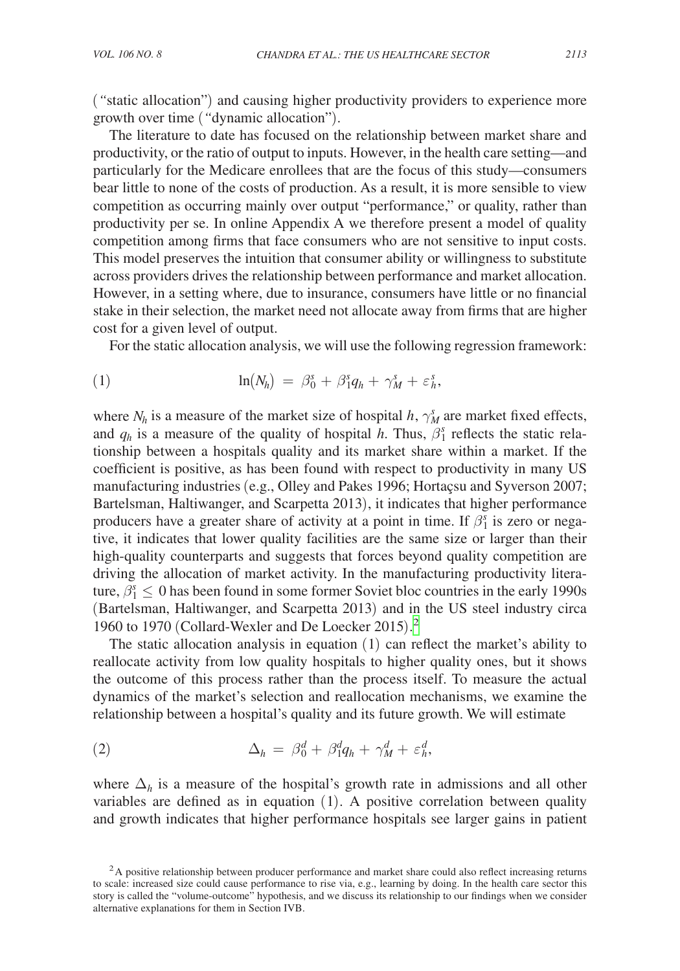(*"*static allocation") and causing higher productivity providers to experience more growth over time (*"*dynamic allocation").

The literature to date has focused on the relationship between market share and productivity, or the ratio of output to inputs. However, in the health care setting—and particularly for the Medicare enrollees that are the focus of this study—consumers bear little to none of the costs of production. As a result, it is more sensible to view competition as occurring mainly over output "performance," or quality, rather than productivity per se. In online Appendix A we therefore present a model of quality competition among firms that face consumers who are not sensitive to input costs. This model preserves the intuition that consumer ability or willingness to substitute across providers drives the relationship between performance and market allocation. However, in a setting where, due to insurance, consumers have little or no financial stake in their selection, the market need not allocate away from firms that are higher cost for a given level of output.

For the static allocation analysis, we will use the following regression framework:

(1) 
$$
\ln(N_h) = \beta_0^s + \beta_1^s q_h + \gamma_M^s + \varepsilon_h^s,
$$

where  $N_h$  is a measure of the market size of hospital  $h$ ,  $\gamma_M^s$  are market fixed effects, and  $q_h$  is a measure of the quality of hospital *h*. Thus,  $\beta_1^s$  reflects the static relationship between a hospitals quality and its market share within a market. If the coefficient is positive, as has been found with respect to productivity in many US manufacturing industries (e.g., Olley and Pakes 1996; Hortaçsu and Syverson 2007; Bartelsman, Haltiwanger, and Scarpetta 2013), it indicates that higher performance producers have a greater share of activity at a point in time. If  $\beta_1^s$  is zero or negative, it indicates that lower quality facilities are the same size or larger than their high-quality counterparts and suggests that forces beyond quality competition are driving the allocation of market activity. In the manufacturing productivity literature,  $\beta_1^s \leq 0$  has been found in some former Soviet bloc countries in the early 1990s (Bartelsman, Haltiwanger, and Scarpetta 2013) and in the US steel industry circa 1960 to 1970 (Collard-Wexler and De Loecker 2015). [2](#page-3-0)

The static allocation analysis in equation (1) can reflect the market's ability to reallocate activity from low quality hospitals to higher quality ones, but it shows the outcome of this process rather than the process itself. To measure the actual dynamics of the market's selection and reallocation mechanisms, we examine the relationship between a hospital's quality and its future growth. We will estimate

(2) 
$$
\Delta_h = \beta_0^d + \beta_1^d q_h + \gamma_M^d + \varepsilon_h^d,
$$

where  $\Delta_h$  is a measure of the hospital's growth rate in admissions and all other variables are defined as in equation (1). A positive correlation between quality and growth indicates that higher performance hospitals see larger gains in patient

<span id="page-3-0"></span><sup>&</sup>lt;sup>2</sup>A positive relationship between producer performance and market share could also reflect increasing returns to scale: increased size could cause performance to rise via, e.g., learning by doing. In the health care sector this story is called the "volume-outcome" hypothesis, and we discuss its relationship to our findings when we consider alternative explanations for them in Section IVB.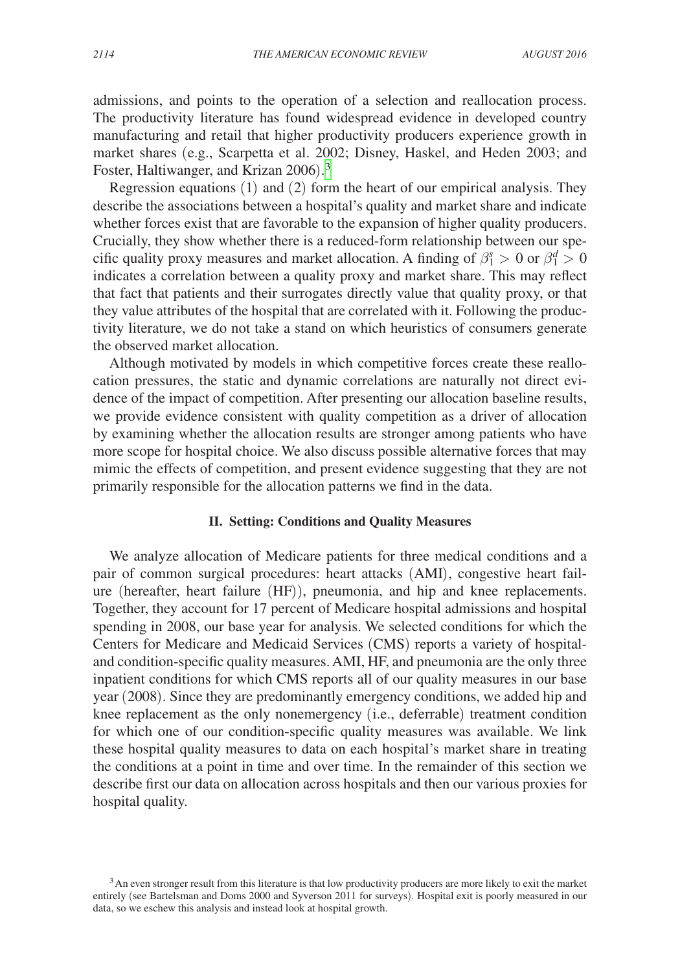admissions, and points to the operation of a selection and reallocation process. The productivity literature has found widespread evidence in developed country manufacturing and retail that higher productivity producers experience growth in market shares (e.g., Scarpetta et al. 2002; Disney, Haskel, and Heden 2003; and Foster, Haltiwanger, and Krizan 2006).<sup>[3](#page-4-0)</sup>

Regression equations (1) and (2) form the heart of our empirical analysis. They describe the associations between a hospital's quality and market share and indicate whether forces exist that are favorable to the expansion of higher quality producers. Crucially, they show whether there is a reduced-form relationship between our specific quality proxy measures and market allocation. A finding of  $\beta_1^s > 0$  or  $\beta_1^d > 0$ indicates a correlation between a quality proxy and market share. This may reflect that fact that patients and their surrogates directly value that quality proxy, or that they value attributes of the hospital that are correlated with it. Following the productivity literature, we do not take a stand on which heuristics of consumers generate the observed market allocation.

Although motivated by models in which competitive forces create these reallocation pressures, the static and dynamic correlations are naturally not direct evidence of the impact of competition. After presenting our allocation baseline results, we provide evidence consistent with quality competition as a driver of allocation by examining whether the allocation results are stronger among patients who have more scope for hospital choice. We also discuss possible alternative forces that may mimic the effects of competition, and present evidence suggesting that they are not primarily responsible for the allocation patterns we find in the data.

#### **II. Setting: Conditions and Quality Measures**

We analyze allocation of Medicare patients for three medical conditions and a pair of common surgical procedures: heart attacks (AMI), congestive heart failure (hereafter, heart failure (HF)), pneumonia, and hip and knee replacements. Together, they account for 17 percent of Medicare hospital admissions and hospital spending in 2008, our base year for analysis. We selected conditions for which the Centers for Medicare and Medicaid Services (CMS) reports a variety of hospitaland condition-specific quality measures. AMI, HF, and pneumonia are the only three inpatient conditions for which CMS reports all of our quality measures in our base year (2008). Since they are predominantly emergency conditions, we added hip and knee replacement as the only nonemergency (i.e., deferrable) treatment condition for which one of our condition-specific quality measures was available. We link these hospital quality measures to data on each hospital's market share in treating the conditions at a point in time and over time. In the remainder of this section we describe first our data on allocation across hospitals and then our various proxies for hospital quality.

<span id="page-4-0"></span><sup>&</sup>lt;sup>3</sup> An even stronger result from this literature is that low productivity producers are more likely to exit the market entirely (see Bartelsman and Doms 2000 and Syverson 2011 for surveys). Hospital exit is poorly measured in our data, so we eschew this analysis and instead look at hospital growth.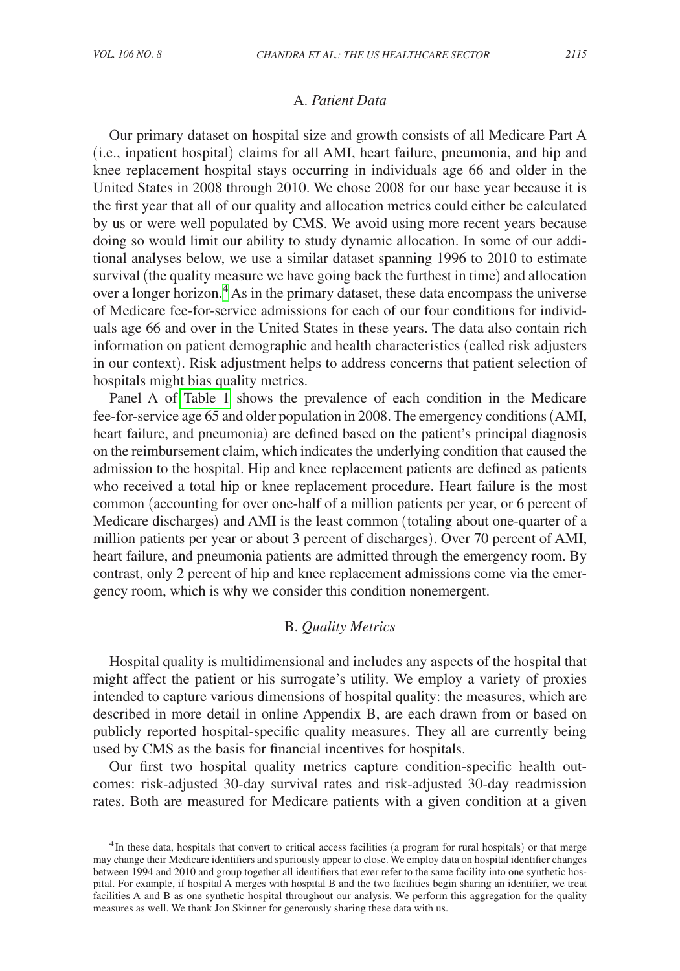## A. *Patient Data*

Our primary dataset on hospital size and growth consists of all Medicare Part A (i.e., inpatient hospital) claims for all AMI, heart failure, pneumonia, and hip and knee replacement hospital stays occurring in individuals age 66 and older in the United States in 2008 through 2010. We chose 2008 for our base year because it is the first year that all of our quality and allocation metrics could either be calculated by us or were well populated by CMS. We avoid using more recent years because doing so would limit our ability to study dynamic allocation. In some of our additional analyses below, we use a similar dataset spanning 1996 to 2010 to estimate survival (the quality measure we have going back the furthest in time) and allocation over a longer horizon.<sup>[4](#page-5-0)</sup> As in the primary dataset, these data encompass the universe of Medicare fee-for-service admissions for each of our four conditions for individuals age 66 and over in the United States in these years. The data also contain rich information on patient demographic and health characteristics (called risk adjusters in our context). Risk adjustment helps to address concerns that patient selection of hospitals might bias quality metrics.

Panel A of [Table 1](#page-9-0) shows the prevalence of each condition in the Medicare fee-for-service age 65 and older population in 2008. The emergency conditions (AMI, heart failure, and pneumonia) are defined based on the patient's principal diagnosis on the reimbursement claim, which indicates the underlying condition that caused the admission to the hospital. Hip and knee replacement patients are defined as patients who received a total hip or knee replacement procedure. Heart failure is the most common (accounting for over one-half of a million patients per year, or 6 percent of Medicare discharges) and AMI is the least common (totaling about one-quarter of a million patients per year or about 3 percent of discharges). Over 70 percent of AMI, heart failure, and pneumonia patients are admitted through the emergency room. By contrast, only 2 percent of hip and knee replacement admissions come via the emergency room, which is why we consider this condition nonemergent.

## B. *Quality Metrics*

Hospital quality is multidimensional and includes any aspects of the hospital that might affect the patient or his surrogate's utility. We employ a variety of proxies intended to capture various dimensions of hospital quality: the measures, which are described in more detail in online Appendix B, are each drawn from or based on publicly reported hospital-specific quality measures. They all are currently being used by CMS as the basis for financial incentives for hospitals.

Our first two hospital quality metrics capture condition-specific health outcomes: risk-adjusted 30-day survival rates and risk-adjusted 30-day readmission rates. Both are measured for Medicare patients with a given condition at a given

<span id="page-5-0"></span><sup>4</sup>In these data, hospitals that convert to critical access facilities (a program for rural hospitals) or that merge may change their Medicare identifiers and spuriously appear to close. We employ data on hospital identifier changes between 1994 and 2010 and group together all identifiers that ever refer to the same facility into one synthetic hospital. For example, if hospital A merges with hospital B and the two facilities begin sharing an identifier, we treat facilities A and B as one synthetic hospital throughout our analysis. We perform this aggregation for the quality measures as well. We thank Jon Skinner for generously sharing these data with us.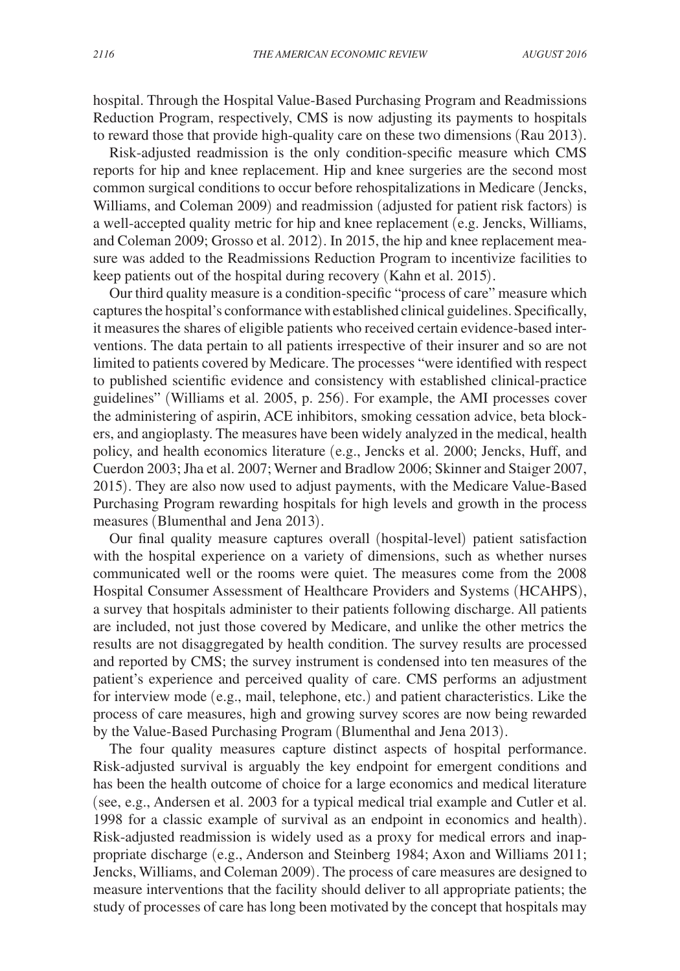hospital. Through the Hospital Value-Based Purchasing Program and Readmissions Reduction Program, respectively, CMS is now adjusting its payments to hospitals to reward those that provide high-quality care on these two dimensions (Rau 2013).

Risk-adjusted readmission is the only condition-specific measure which CMS reports for hip and knee replacement. Hip and knee surgeries are the second most common surgical conditions to occur before rehospitalizations in Medicare (Jencks, Williams, and Coleman 2009) and readmission (adjusted for patient risk factors) is a well-accepted quality metric for hip and knee replacement (e.g. Jencks, Williams, and Coleman 2009; Grosso et al. 2012). In 2015, the hip and knee replacement measure was added to the Readmissions Reduction Program to incentivize facilities to keep patients out of the hospital during recovery (Kahn et al. 2015).

Our third quality measure is a condition-specific "process of care" measure which captures the hospital's conformance with established clinical guidelines. Specifically, it measures the shares of eligible patients who received certain evidence-based interventions. The data pertain to all patients irrespective of their insurer and so are not limited to patients covered by Medicare. The processes "were identified with respect to published scientific evidence and consistency with established clinical-practice guidelines" (Williams et al. 2005, p. 256). For example, the AMI processes cover the administering of aspirin, ACE inhibitors, smoking cessation advice, beta blockers, and angioplasty. The measures have been widely analyzed in the medical, health policy, and health economics literature (e.g., Jencks et al. 2000; Jencks, Huff, and Cuerdon 2003; Jha et al. 2007; Werner and Bradlow 2006; Skinner and Staiger 2007, 2015). They are also now used to adjust payments, with the Medicare Value-Based Purchasing Program rewarding hospitals for high levels and growth in the process measures (Blumenthal and Jena 2013).

Our final quality measure captures overall (hospital-level) patient satisfaction with the hospital experience on a variety of dimensions, such as whether nurses communicated well or the rooms were quiet. The measures come from the 2008 Hospital Consumer Assessment of Healthcare Providers and Systems (HCAHPS), a survey that hospitals administer to their patients following discharge. All patients are included, not just those covered by Medicare, and unlike the other metrics the results are not disaggregated by health condition. The survey results are processed and reported by CMS; the survey instrument is condensed into ten measures of the patient's experience and perceived quality of care. CMS performs an adjustment for interview mode (e.g., mail, telephone, etc.) and patient characteristics. Like the process of care measures, high and growing survey scores are now being rewarded by the Value-Based Purchasing Program (Blumenthal and Jena 2013).

The four quality measures capture distinct aspects of hospital performance. Risk-adjusted survival is arguably the key endpoint for emergent conditions and has been the health outcome of choice for a large economics and medical literature (see, e.g., Andersen et al. 2003 for a typical medical trial example and Cutler et al. 1998 for a classic example of survival as an endpoint in economics and health). Risk-adjusted readmission is widely used as a proxy for medical errors and inappropriate discharge (e.g., Anderson and Steinberg 1984; Axon and Williams 2011; Jencks, Williams, and Coleman 2009). The process of care measures are designed to measure interventions that the facility should deliver to all appropriate patients; the study of processes of care has long been motivated by the concept that hospitals may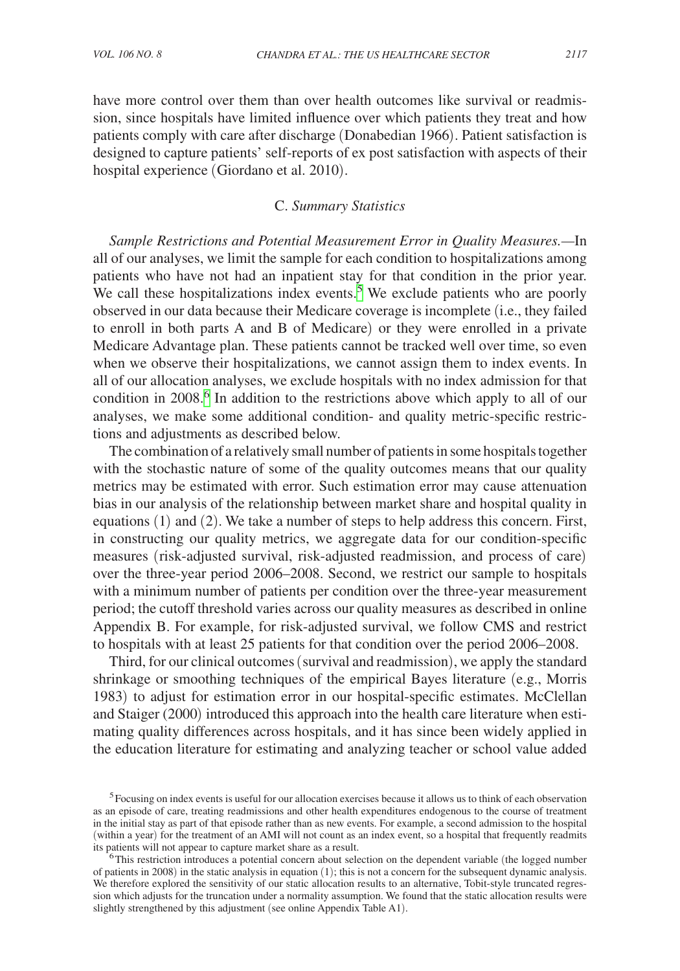have more control over them than over health outcomes like survival or readmission, since hospitals have limited influence over which patients they treat and how patients comply with care after discharge (Donabedian 1966). Patient satisfaction is designed to capture patients' self-reports of ex post satisfaction with aspects of their hospital experience (Giordano et al. 2010).

## C. *Summary Statistics*

*Sample Restrictions and Potential Measurement Error in Quality Measures.—*In all of our analyses, we limit the sample for each condition to hospitalizations among patients who have not had an inpatient stay for that condition in the prior year. We call these hospitalizations index events.<sup>[5](#page-7-0)</sup> We exclude patients who are poorly observed in our data because their Medicare coverage is incomplete (i.e., they failed to enroll in both parts A and B of Medicare) or they were enrolled in a private Medicare Advantage plan. These patients cannot be tracked well over time, so even when we observe their hospitalizations, we cannot assign them to index events. In all of our allocation analyses, we exclude hospitals with no index admission for that condition in 2008.<sup>[6](#page-7-1)</sup> In addition to the restrictions above which apply to all of our analyses, we make some additional condition- and quality metric-specific restrictions and adjustments as described below.

The combination of a relatively small number of patients in some hospitals together with the stochastic nature of some of the quality outcomes means that our quality metrics may be estimated with error. Such estimation error may cause attenuation bias in our analysis of the relationship between market share and hospital quality in equations (1) and (2). We take a number of steps to help address this concern. First, in constructing our quality metrics, we aggregate data for our condition-specific measures (risk-adjusted survival, risk-adjusted readmission, and process of care) over the three-year period 2006–2008. Second, we restrict our sample to hospitals with a minimum number of patients per condition over the three-year measurement period; the cutoff threshold varies across our quality measures as described in online Appendix B. For example, for risk-adjusted survival, we follow CMS and restrict to hospitals with at least 25 patients for that condition over the period 2006–2008.

Third, for our clinical outcomes (survival and readmission), we apply the standard shrinkage or smoothing techniques of the empirical Bayes literature (e.g., Morris 1983) to adjust for estimation error in our hospital-specific estimates. McClellan and Staiger (2000) introduced this approach into the health care literature when estimating quality differences across hospitals, and it has since been widely applied in the education literature for estimating and analyzing teacher or school value added

<span id="page-7-0"></span><sup>5</sup>Focusing on index events is useful for our allocation exercises because it allows us to think of each observation as an episode of care, treating readmissions and other health expenditures endogenous to the course of treatment in the initial stay as part of that episode rather than as new events. For example, a second admission to the hospital (within a year) for the treatment of an AMI will not count as an index event, so a hospital that frequently readmits its patients will not appear to capture market share as a result.

<span id="page-7-1"></span> $\epsilon$ <sup>6</sup>This restriction introduces a potential concern about selection on the dependent variable (the logged number of patients in 2008) in the static analysis in equation (1); this is not a concern for the subsequent dynamic analysis. We therefore explored the sensitivity of our static allocation results to an alternative, Tobit-style truncated regression which adjusts for the truncation under a normality assumption. We found that the static allocation results were slightly strengthened by this adjustment (see online Appendix Table A1).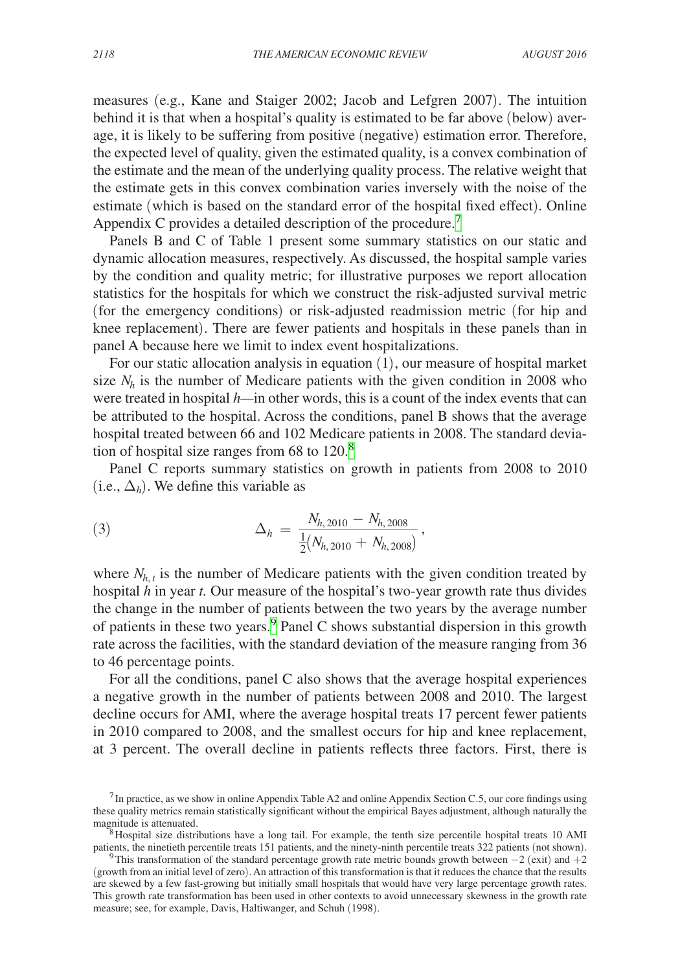measures (e.g., Kane and Staiger 2002; Jacob and Lefgren 2007). The intuition behind it is that when a hospital's quality is estimated to be far above (below) average, it is likely to be suffering from positive (negative) estimation error. Therefore, the expected level of quality, given the estimated quality, is a convex combination of the estimate and the mean of the underlying quality process. The relative weight that the estimate gets in this convex combination varies inversely with the noise of the estimate (which is based on the standard error of the hospital fixed effect). Online Appendix C provides a detailed description of the procedure.<sup>7</sup>

Panels B and C of Table 1 present some summary statistics on our static and dynamic allocation measures, respectively. As discussed, the hospital sample varies by the condition and quality metric; for illustrative purposes we report allocation statistics for the hospitals for which we construct the risk-adjusted survival metric (for the emergency conditions) or risk-adjusted readmission metric (for hip and knee replacement). There are fewer patients and hospitals in these panels than in panel A because here we limit to index event hospitalizations.

For our static allocation analysis in equation (1), our measure of hospital market size  $N<sub>h</sub>$  is the number of Medicare patients with the given condition in 2008 who were treated in hospital *h—*in other words, this is a count of the index events that can be attributed to the hospital. Across the conditions, panel B shows that the average hospital treated between 66 and 102 Medicare patients in 2008. The standard deviation of hospital size ranges from 68 to 120.<sup>8</sup>

Panel C reports summary statistics on growth in patients from 2008 to 2010 (i.e.,  $\Delta_h$ ). We define this variable as

(1. e., 
$$
\Delta_h
$$
). We define this variable as  
\n
$$
\Delta_h = \frac{N_{h,2010} - N_{h,2008}}{\frac{1}{2}(N_{h,2010} + N_{h,2008})},
$$

where  $N_{h,t}$  is the number of Medicare patients with the given condition treated by hospital *h* in year *t.* Our measure of the hospital's two-year growth rate thus divides the change in the number of patients between the two years by the average number of patients in these two years.<sup>[9](#page-8-2)</sup> Panel C shows substantial dispersion in this growth rate across the facilities, with the standard deviation of the measure ranging from 36 to 46 percentage points.

For all the conditions, panel C also shows that the average hospital experiences a negative growth in the number of patients between 2008 and 2010. The largest decline occurs for AMI, where the average hospital treats 17 percent fewer patients in 2010 compared to 2008, and the smallest occurs for hip and knee replacement, at 3 percent. The overall decline in patients reflects three factors. First, there is

<span id="page-8-0"></span><sup>7</sup>In practice, as we show in online Appendix Table A2 and online Appendix Section C.5, our core findings using these quality metrics remain statistically significant without the empirical Bayes adjustment, although naturally the

<span id="page-8-1"></span> $8$ Hospital size distributions have a long tail. For example, the tenth size percentile hospital treats 10 AMI patients, the ninetieth percentile treats 151 patients, and the ninety-ninth percentile treats 322 patients (not shown).<br><sup>9</sup>This transformation of the standard percentage growth rate metric bounds growth between  $-2$  (exi

<span id="page-8-2"></span><sup>(</sup>growth from an initial level of zero). An attraction of this transformation is that it reduces the chance that the results are skewed by a few fast-growing but initially small hospitals that would have very large percentage growth rates. This growth rate transformation has been used in other contexts to avoid unnecessary skewness in the growth rate measure; see, for example, Davis, Haltiwanger, and Schuh (1998).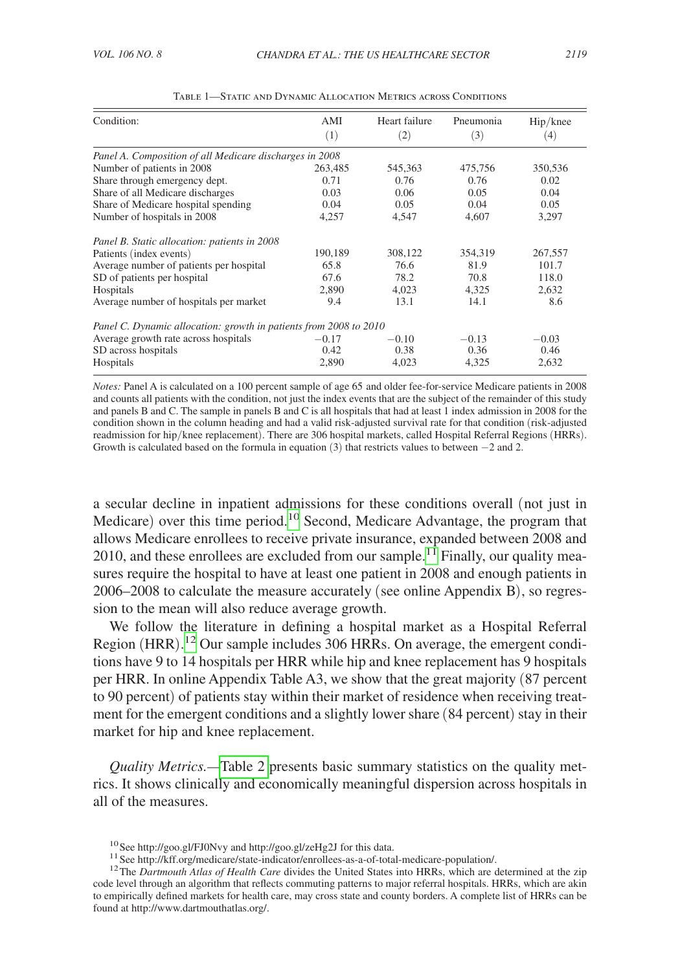<span id="page-9-0"></span>

| Condition:                                                        | AMI<br>(1) | Heart failure<br>(2) | Pneumonia<br>(3) | $\text{Hip}/\text{knee}$<br>(4) |
|-------------------------------------------------------------------|------------|----------------------|------------------|---------------------------------|
| Panel A. Composition of all Medicare discharges in 2008           |            |                      |                  |                                 |
| Number of patients in 2008                                        | 263,485    | 545,363              | 475,756          | 350,536                         |
| Share through emergency dept.                                     | 0.71       | 0.76                 | 0.76             | 0.02                            |
| Share of all Medicare discharges                                  | 0.03       | 0.06                 | 0.05             | 0.04                            |
| Share of Medicare hospital spending                               | 0.04       | 0.05                 | 0.04             | 0.05                            |
| Number of hospitals in 2008                                       | 4,257      | 4.547                | 4,607            | 3.297                           |
| Panel B. Static allocation: patients in 2008                      |            |                      |                  |                                 |
| Patients (index events)                                           | 190,189    | 308,122              | 354,319          | 267,557                         |
| Average number of patients per hospital                           | 65.8       | 76.6                 | 81.9             | 101.7                           |
| SD of patients per hospital                                       | 67.6       | 78.2                 | 70.8             | 118.0                           |
| Hospitals                                                         | 2,890      | 4,023                | 4,325            | 2,632                           |
| Average number of hospitals per market                            | 9.4        | 13.1                 | 14.1             | 8.6                             |
| Panel C. Dynamic allocation: growth in patients from 2008 to 2010 |            |                      |                  |                                 |
| Average growth rate across hospitals                              | $-0.17$    | $-0.10$              | $-0.13$          | $-0.03$                         |
| SD across hospitals                                               | 0.42       | 0.38                 | 0.36             | 0.46                            |
| Hospitals                                                         | 2.890      | 4.023                | 4,325            | 2,632                           |

| TABLE 1—STATIC AND DYNAMIC ALLOCATION METRICS ACROSS CONDITIONS |
|-----------------------------------------------------------------|
|-----------------------------------------------------------------|

*Notes:* Panel A is calculated on a 100 percent sample of age 65 and older fee-for-service Medicare patients in 2008 and counts all patients with the condition, not just the index events that are the subject of the remainder of this study and panels B and C. The sample in panels B and C is all hospitals that had at least 1 index admission in 2008 for the condition shown in the column heading and had a valid risk-adjusted survival rate for that condition (risk-adjusted readmission for hip/knee replacement). There are 306 hospital markets, called Hospital Referral Regions (HRRs). Growth is calculated based on the formula in equation (3) that restricts values to between −2 and 2.

a secular decline in inpatient admissions for these conditions overall (not just in Medicare) over this time period.[10](#page-9-1) Second, Medicare Advantage, the program that allows Medicare enrollees to receive private insurance, expanded between 2008 and 2010, and these enrollees are excluded from our sample.<sup>11</sup> Finally, our quality measures require the hospital to have at least one patient in 2008 and enough patients in 2006–2008 to calculate the measure accurately (see online Appendix B), so regression to the mean will also reduce average growth.

We follow the literature in defining a hospital market as a Hospital Referral Region (HRR). [12](#page-9-3) Our sample includes 306 HRRs. On average, the emergent conditions have 9 to 14 hospitals per HRR while hip and knee replacement has 9 hospitals per HRR. In online Appendix Table A3, we show that the great majority (87 percent to 90 percent) of patients stay within their market of residence when receiving treatment for the emergent conditions and a slightly lower share (84 percent) stay in their market for hip and knee replacement.

*Quality Metrics.—*[Table 2](#page-10-0) presents basic summary statistics on the quality metrics. It shows clinically and economically meaningful dispersion across hospitals in all of the measures.

<span id="page-9-3"></span><span id="page-9-2"></span><span id="page-9-1"></span>

<sup>&</sup>lt;sup>10</sup>See<http://goo.gl/FJ0Nvy> and <http://goo.gl/zeHg2J> for this data.<br><sup>11</sup> See [http://kff.org/medicare/state-indicator/enrollees-as-a-of-total-medicare-population/](http://kff.org/medicare/state-indicator/enrollees-as-a-of-total-medicare-population).<br><sup>12</sup> The *Dartmouth Atlas of Health Care* divides the Uni code level through an algorithm that reflects commuting patterns to major referral hospitals. HRRs, which are akin to empirically defined markets for health care, may cross state and county borders. A complete list of HRRs can be found at<http://www.dartmouthatlas.org>/.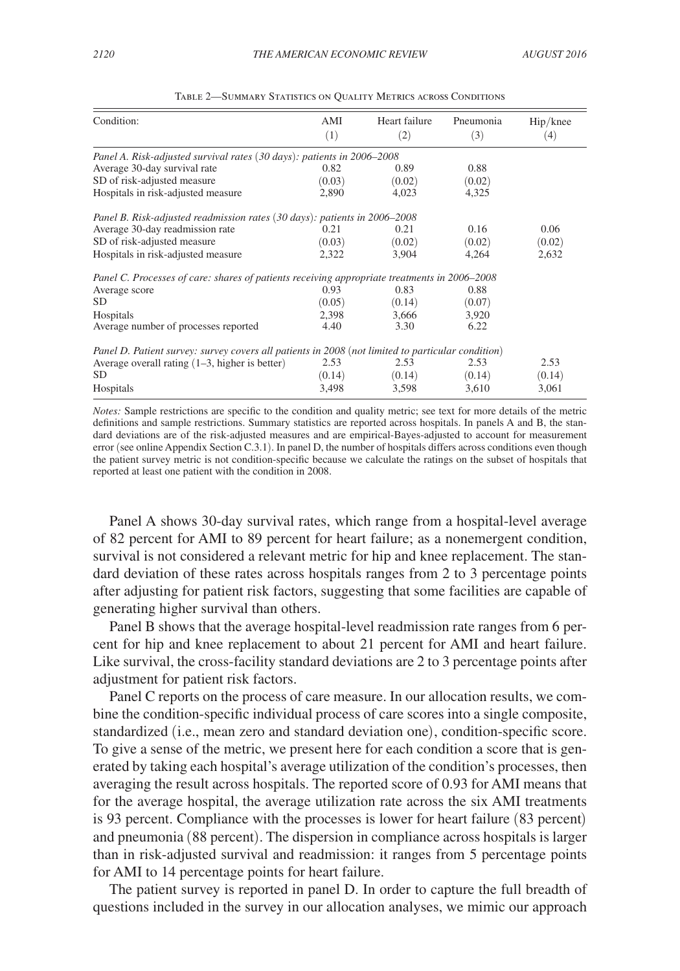<span id="page-10-0"></span>

| Condition:                                                                                        | AMI    | Heart failure | Pneumonia | Hip/knee |
|---------------------------------------------------------------------------------------------------|--------|---------------|-----------|----------|
|                                                                                                   | (1)    | (2)           | (3)       | (4)      |
| Panel A. Risk-adjusted survival rates (30 days): patients in 2006–2008                            |        |               |           |          |
| Average 30-day survival rate                                                                      | 0.82   | 0.89          | 0.88      |          |
| SD of risk-adjusted measure                                                                       | (0.03) | (0.02)        | (0.02)    |          |
| Hospitals in risk-adjusted measure                                                                | 2,890  | 4,023         | 4,325     |          |
| Panel B. Risk-adjusted readmission rates (30 days): patients in 2006–2008                         |        |               |           |          |
| Average 30-day readmission rate                                                                   | 0.21   | 0.21          | 0.16      | 0.06     |
| SD of risk-adjusted measure                                                                       | (0.03) | (0.02)        | (0.02)    | (0.02)   |
| Hospitals in risk-adjusted measure                                                                | 2,322  | 3,904         | 4,264     | 2,632    |
| Panel C. Processes of care: shares of patients receiving appropriate treatments in 2006–2008      |        |               |           |          |
| Average score                                                                                     | 0.93   | 0.83          | 0.88      |          |
| <b>SD</b>                                                                                         | (0.05) | (0.14)        | (0.07)    |          |
| Hospitals                                                                                         | 2,398  | 3,666         | 3,920     |          |
| Average number of processes reported                                                              | 4.40   | 3.30          | 6.22      |          |
| Panel D. Patient survey: survey covers all patients in 2008 (not limited to particular condition) |        |               |           |          |
| Average overall rating $(1-3, higher is better)$                                                  | 2.53   | 2.53          | 2.53      | 2.53     |
| <b>SD</b>                                                                                         | (0.14) | (0.14)        | (0.14)    | (0.14)   |
| Hospitals                                                                                         | 3,498  | 3,598         | 3,610     | 3,061    |

Table 2—Summary Statistics on Quality Metrics across Conditions

*Notes:* Sample restrictions are specific to the condition and quality metric; see text for more details of the metric definitions and sample restrictions. Summary statistics are reported across hospitals. In panels A and B, the standard deviations are of the risk-adjusted measures and are empirical-Bayes-adjusted to account for measurement error (see online Appendix Section C.3.1). In panel D, the number of hospitals differs across conditions even though the patient survey metric is not condition-specific because we calculate the ratings on the subset of hospitals that reported at least one patient with the condition in 2008.

Panel A shows 30-day survival rates, which range from a hospital-level average of 82 percent for AMI to 89 percent for heart failure; as a nonemergent condition, survival is not considered a relevant metric for hip and knee replacement. The standard deviation of these rates across hospitals ranges from 2 to 3 percentage points after adjusting for patient risk factors, suggesting that some facilities are capable of generating higher survival than others.

Panel B shows that the average hospital-level readmission rate ranges from 6 percent for hip and knee replacement to about 21 percent for AMI and heart failure. Like survival, the cross-facility standard deviations are 2 to 3 percentage points after adjustment for patient risk factors.

Panel C reports on the process of care measure. In our allocation results, we combine the condition-specific individual process of care scores into a single composite, standardized (i.e., mean zero and standard deviation one), condition-specific score. To give a sense of the metric, we present here for each condition a score that is generated by taking each hospital's average utilization of the condition's processes, then averaging the result across hospitals. The reported score of 0.93 for AMI means that for the average hospital, the average utilization rate across the six AMI treatments is 93 percent. Compliance with the processes is lower for heart failure (83 percent) and pneumonia (88 percent). The dispersion in compliance across hospitals is larger than in risk-adjusted survival and readmission: it ranges from 5 percentage points for AMI to 14 percentage points for heart failure.

The patient survey is reported in panel D. In order to capture the full breadth of questions included in the survey in our allocation analyses, we mimic our approach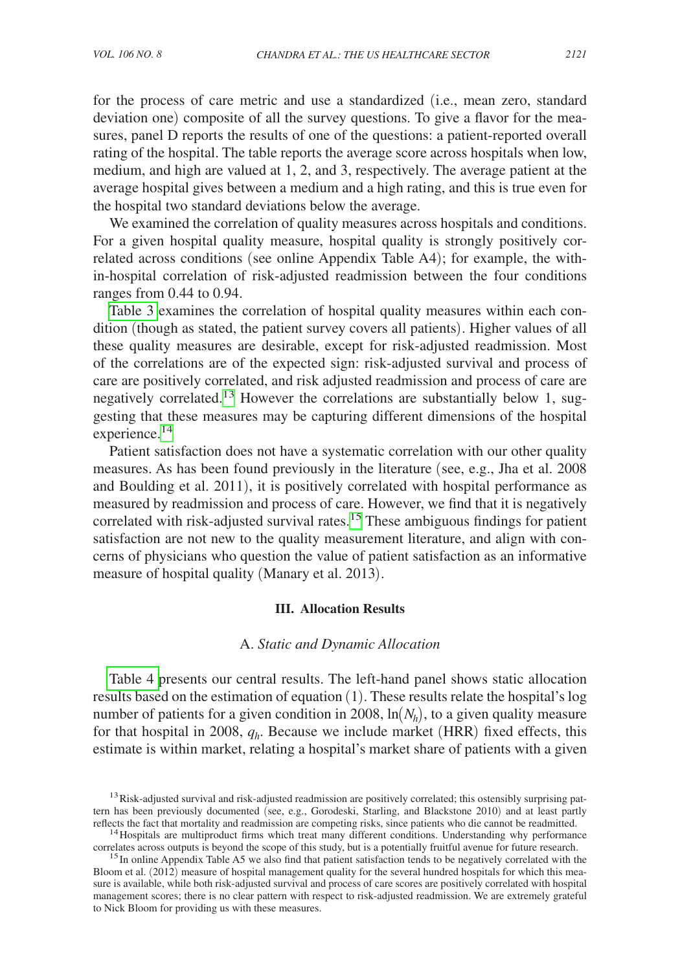for the process of care metric and use a standardized (i.e., mean zero, standard deviation one) composite of all the survey questions. To give a flavor for the measures, panel D reports the results of one of the questions: a patient-reported overall rating of the hospital. The table reports the average score across hospitals when low, medium, and high are valued at 1, 2, and 3, respectively. The average patient at the average hospital gives between a medium and a high rating, and this is true even for the hospital two standard deviations below the average.

We examined the correlation of quality measures across hospitals and conditions. For a given hospital quality measure, hospital quality is strongly positively correlated across conditions (see online Appendix Table A4); for example, the within-hospital correlation of risk-adjusted readmission between the four conditions ranges from 0.44 to 0.94.

[Table 3](#page-12-0) examines the correlation of hospital quality measures within each condition (though as stated, the patient survey covers all patients). Higher values of all these quality measures are desirable, except for risk-adjusted readmission. Most of the correlations are of the expected sign: risk-adjusted survival and process of care are positively correlated, and risk adjusted readmission and process of care are negatively correlated[.13](#page-11-0) However the correlations are substantially below 1, suggesting that these measures may be capturing different dimensions of the hospital experience.<sup>14</sup>

Patient satisfaction does not have a systematic correlation with our other quality measures. As has been found previously in the literature (see, e.g., Jha et al. 2008 and Boulding et al. 2011), it is positively correlated with hospital performance as measured by readmission and process of care. However, we find that it is negatively correlated with risk-adjusted survival rates.<sup>15</sup> These ambiguous findings for patient satisfaction are not new to the quality measurement literature, and align with concerns of physicians who question the value of patient satisfaction as an informative measure of hospital quality (Manary et al. 2013).

#### **III. Allocation Results**

#### A. *Static and Dynamic Allocation*

[Table 4 p](#page-13-0)resents our central results. The left-hand panel shows static allocation results based on the estimation of equation (1). These results relate the hospital's log number of patients for a given condition in 2008,  $\ln(N_h)$ , to a given quality measure for that hospital in 2008,  $q_h$ . Because we include market (HRR) fixed effects, this estimate is within market, relating a hospital's market share of patients with a given

<span id="page-11-0"></span><sup>&</sup>lt;sup>13</sup>Risk-adjusted survival and risk-adjusted readmission are positively correlated; this ostensibly surprising pattern has been previously documented (see, e.g., Gorodeski, Starling, and Blackstone 2010) and at least partly<br>reflects the fact that mortality and readmission are competing risks, since patients who die cannot be readmitte <sup>14</sup> Hospitals are multiproduct firms which treat many different conditions. Understanding why performance

<span id="page-11-1"></span>correlates across outputs is beyond the scope of this study, but is a potentially fruitful avenue for future research.<br><sup>15</sup> In online Appendix Table A5 we also find that patient satisfaction tends to be negatively correlat

<span id="page-11-2"></span>Bloom et al. (2012) measure of hospital management quality for the several hundred hospitals for which this measure is available, while both risk-adjusted survival and process of care scores are positively correlated with hospital management scores; there is no clear pattern with respect to risk-adjusted readmission. We are extremely grateful to Nick Bloom for providing us with these measures.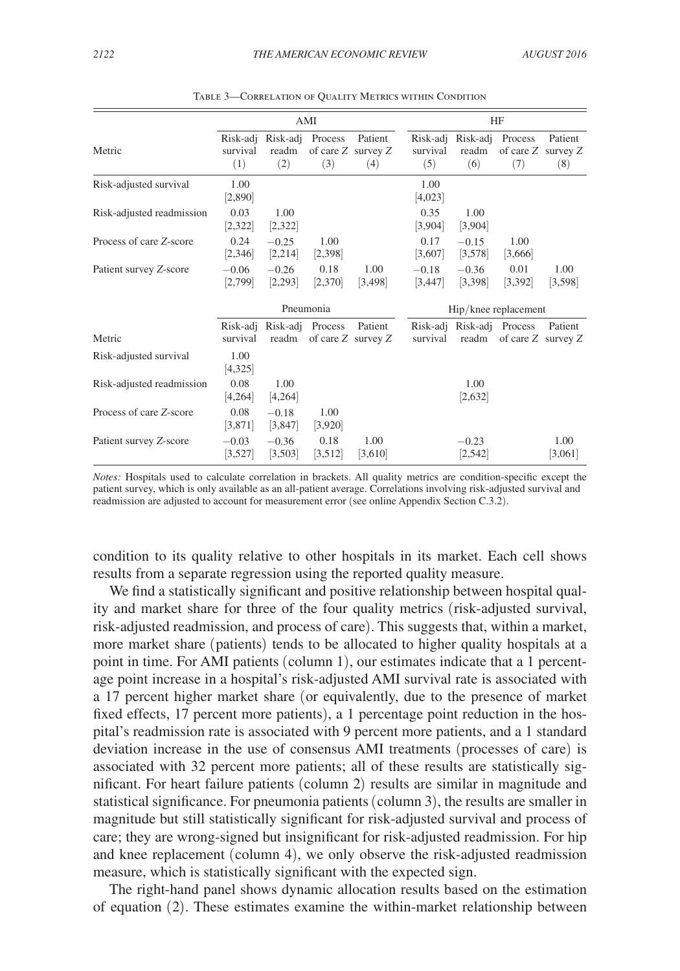<span id="page-12-0"></span>

|                           | AMI                         |                          |                                   |                                          | HF                                   |                           |                                          |                 |
|---------------------------|-----------------------------|--------------------------|-----------------------------------|------------------------------------------|--------------------------------------|---------------------------|------------------------------------------|-----------------|
| Metric                    | Risk-adj<br>survival<br>(1) | Risk-adj<br>readm<br>(2) | Process<br>(3)                    | Patient<br>of care $Z$ survey $Z$<br>(4) | Risk-adj<br>survival<br>(5)          | Risk-adj<br>readm<br>(6)  | Process<br>of care $Z$ survey $Z$<br>(7) | Patient<br>(8)  |
| Risk-adjusted survival    | 1.00<br>[2,890]             |                          |                                   |                                          | 1.00<br>[4,023]                      |                           |                                          |                 |
| Risk-adjusted readmission | 0.03<br>[2, 322]            | 1.00<br>[2,322]          |                                   |                                          | 0.35<br>[3,904]                      | 1.00<br>[3,904]           |                                          |                 |
| Process of care Z-score   | 0.24<br>[2, 346]            | $-0.25$<br>[2,214]       | 1.00<br>[2,398]                   |                                          | 0.17<br>[3,607]                      | $-0.15$<br>[3,578]        | 1.00<br>[3,666]                          |                 |
| Patient survey Z-score    | $-0.06$<br>[2,799]          | $-0.26$<br>[2,293]       | 0.18<br>[2,370]                   | 1.00<br> 3,498                           | $-0.18$<br> 3,447                    | $-0.36$<br>[3,398]        | 0.01<br>[3,392]                          | 1.00<br>[3,598] |
|                           |                             |                          | Pneumonia                         |                                          | $\text{Hip}/\text{knee}$ replacement |                           |                                          |                 |
| Metric                    | Risk-adj<br>survival        | Risk-adj<br>readm        | Process<br>of care $Z$ survey $Z$ | Patient                                  | Risk-adj<br>survival                 | Risk-adj Process<br>readm | of care $Z$ survey $Z$                   | Patient         |
| Risk-adjusted survival    | 1.00<br>[4,325]             |                          |                                   |                                          |                                      |                           |                                          |                 |
| Risk-adjusted readmission | 0.08<br>[4,264]             | 1.00<br>[4,264]          |                                   |                                          |                                      | 1.00<br>[2,632]           |                                          |                 |
| Process of care Z-score   | 0.08<br> 3,871              | $-0.18$<br> 3,847        | 1.00<br> 3,920                    |                                          |                                      |                           |                                          |                 |
| Patient survey Z-score    | $-0.03$<br>[3,527]          | $-0.36$<br>[3,503]       | 0.18<br>[3,512]                   | 1.00<br>[3,610]                          |                                      | $-0.23$<br> 2,542         |                                          | 1.00<br>[3,061] |

Table 3—Correlation of Quality Metrics within Condition

*Notes:* Hospitals used to calculate correlation in brackets. All quality metrics are condition-specific except the patient survey, which is only available as an all-patient average. Correlations involving risk-adjusted survival and readmission are adjusted to account for measurement error (see online Appendix Section C.3.2).

condition to its quality relative to other hospitals in its market. Each cell shows results from a separate regression using the reported quality measure.

We find a statistically significant and positive relationship between hospital quality and market share for three of the four quality metrics (risk-adjusted survival, risk-adjusted readmission, and process of care). This suggests that, within a market, more market share (patients) tends to be allocated to higher quality hospitals at a point in time. For AMI patients (column 1), our estimates indicate that a 1 percentage point increase in a hospital's risk-adjusted AMI survival rate is associated with a 17 percent higher market share (or equivalently, due to the presence of market fixed effects, 17 percent more patients), a 1 percentage point reduction in the hospital's readmission rate is associated with 9 percent more patients, and a 1 standard deviation increase in the use of consensus AMI treatments (processes of care) is associated with 32 percent more patients; all of these results are statistically significant. For heart failure patients (column 2) results are similar in magnitude and statistical significance. For pneumonia patients (column 3), the results are smaller in magnitude but still statistically significant for risk-adjusted survival and process of care; they are wrong-signed but insignificant for risk-adjusted readmission. For hip and knee replacement (column 4), we only observe the risk-adjusted readmission measure, which is statistically significant with the expected sign.

The right-hand panel shows dynamic allocation results based on the estimation of equation (2). These estimates examine the within-market relationship between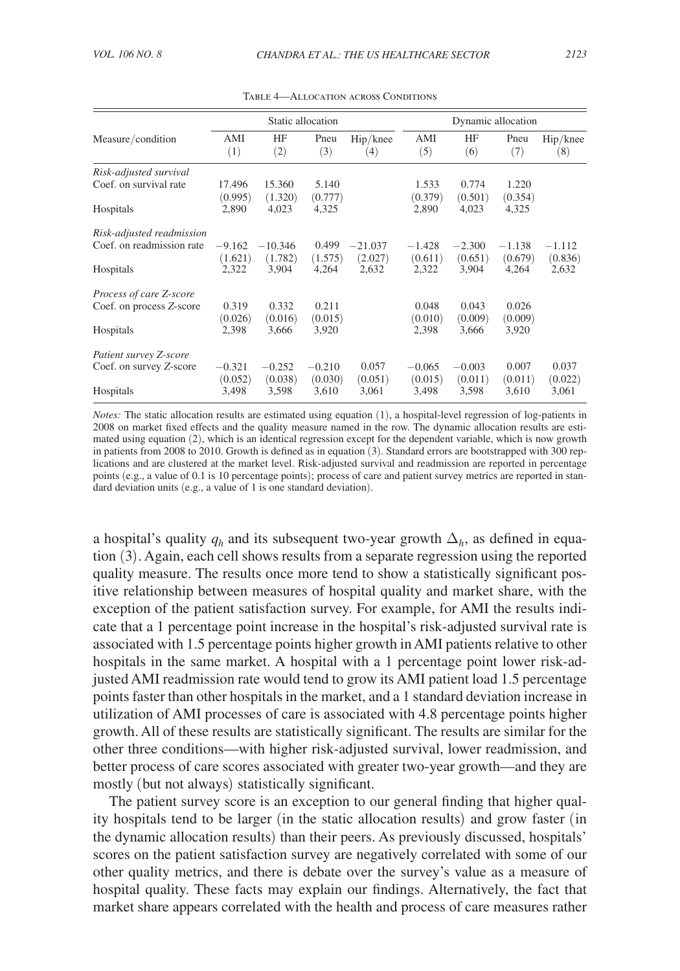<span id="page-13-0"></span>

|                           | Static allocation   |                      |                     |                                 | Dynamic allocation  |                     |                     |                     |
|---------------------------|---------------------|----------------------|---------------------|---------------------------------|---------------------|---------------------|---------------------|---------------------|
| Measure/condition         | AMI<br>(1)          | HF<br>(2)            | Pneu<br>(3)         | $\text{Hip}/\text{knee}$<br>(4) | AMI<br>(5)          | HF<br>(6)           | Pneu<br>(7)         | Hip/knee<br>(8)     |
| Risk-adjusted survival    |                     |                      |                     |                                 |                     |                     |                     |                     |
| Coef, on survival rate    | 17.496<br>(0.995)   | 15.360<br>(1.320)    | 5.140<br>(0.777)    |                                 | 1.533<br>(0.379)    | 0.774<br>(0.501)    | 1.220<br>(0.354)    |                     |
| Hospitals                 | 2,890               | 4,023                | 4,325               |                                 | 2,890               | 4,023               | 4,325               |                     |
| Risk-adjusted readmission |                     |                      |                     |                                 |                     |                     |                     |                     |
| Coef. on readmission rate | $-9.162$<br>(1.621) | $-10.346$<br>(1.782) | 0.499<br>(1.575)    | $-21.037$<br>(2.027)            | $-1.428$<br>(0.611) | $-2.300$<br>(0.651) | $-1.138$<br>(0.679) | $-1.112$<br>(0.836) |
| Hospitals                 | 2,322               | 3,904                | 4,264               | 2,632                           | 2,322               | 3,904               | 4,264               | 2,632               |
| Process of care Z-score   |                     |                      |                     |                                 |                     |                     |                     |                     |
| Coef. on process Z-score  | 0.319               | 0.332                | 0.211               |                                 | 0.048               | 0.043               | 0.026               |                     |
| Hospitals                 | (0.026)<br>2,398    | (0.016)<br>3,666     | (0.015)<br>3,920    |                                 | (0.010)<br>2,398    | (0.009)<br>3,666    | (0.009)<br>3,920    |                     |
| Patient survey Z-score    |                     |                      |                     |                                 |                     |                     |                     |                     |
| Coef. on survey Z-score   | $-0.321$<br>(0.052) | $-0.252$<br>(0.038)  | $-0.210$<br>(0.030) | 0.057<br>(0.051)                | $-0.065$<br>(0.015) | $-0.003$<br>(0.011) | 0.007<br>(0.011)    | 0.037<br>(0.022)    |
| Hospitals                 | 3,498               | 3,598                | 3,610               | 3,061                           | 3,498               | 3,598               | 3,610               | 3,061               |

Table 4—Allocation across Conditions

*Notes:* The static allocation results are estimated using equation (1), a hospital-level regression of log-patients in 2008 on market fixed effects and the quality measure named in the row. The dynamic allocation results are estimated using equation (2), which is an identical regression except for the dependent variable, which is now growth in patients from 2008 to 2010. Growth is defined as in equation (3). Standard errors are bootstrapped with 300 replications and are clustered at the market level. Risk-adjusted survival and readmission are reported in percentage points (e.g., a value of 0.1 is 10 percentage points); process of care and patient survey metrics are reported in standard deviation units (e.g., a value of 1 is one standard deviation).

a hospital's quality  $q_h$  and its subsequent two-year growth  $\Delta_h$ , as defined in equation (3). Again, each cell shows results from a separate regression using the reported quality measure. The results once more tend to show a statistically significant positive relationship between measures of hospital quality and market share, with the exception of the patient satisfaction survey. For example, for AMI the results indicate that a 1 percentage point increase in the hospital's risk-adjusted survival rate is associated with 1.5 percentage points higher growth in AMI patients relative to other hospitals in the same market. A hospital with a 1 percentage point lower risk-adjusted AMI readmission rate would tend to grow its AMI patient load 1.5 percentage points faster than other hospitals in the market, and a 1 standard deviation increase in utilization of AMI processes of care is associated with 4.8 percentage points higher growth. All of these results are statistically significant. The results are similar for the other three conditions—with higher risk-adjusted survival, lower readmission, and better process of care scores associated with greater two-year growth—and they are mostly (but not always) statistically significant.

The patient survey score is an exception to our general finding that higher quality hospitals tend to be larger (in the static allocation results) and grow faster (in the dynamic allocation results) than their peers. As previously discussed, hospitals' scores on the patient satisfaction survey are negatively correlated with some of our other quality metrics, and there is debate over the survey's value as a measure of hospital quality. These facts may explain our findings. Alternatively, the fact that market share appears correlated with the health and process of care measures rather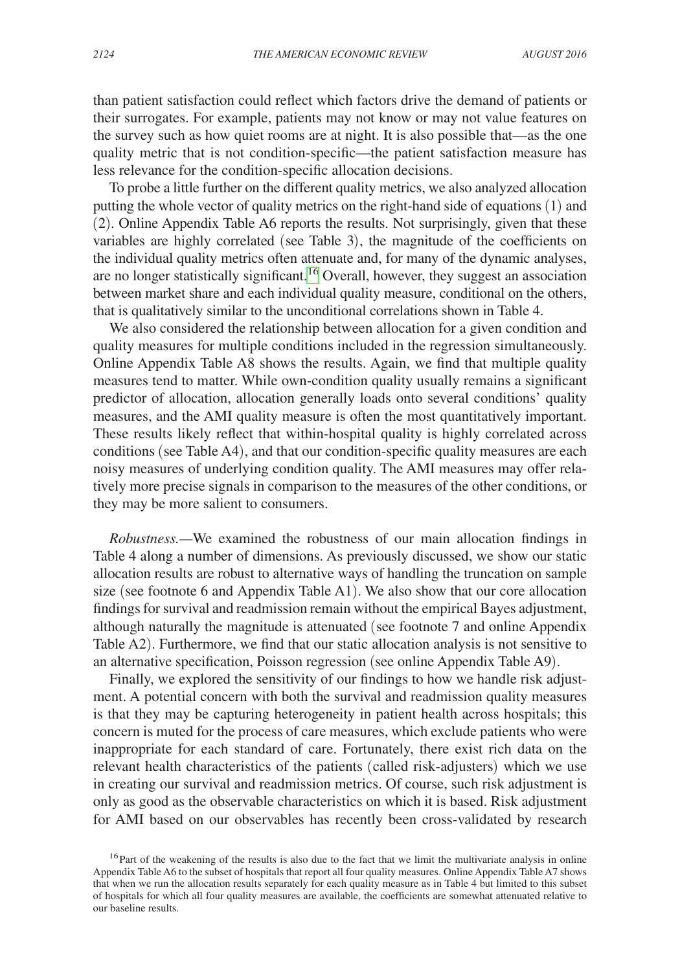than patient satisfaction could reflect which factors drive the demand of patients or their surrogates. For example, patients may not know or may not value features on the survey such as how quiet rooms are at night. It is also possible that—as the one quality metric that is not condition-specific—the patient satisfaction measure has less relevance for the condition-specific allocation decisions.

To probe a little further on the different quality metrics, we also analyzed allocation putting the whole vector of quality metrics on the right-hand side of equations (1) and (2). Online Appendix Table A6 reports the results. Not surprisingly, given that these variables are highly correlated (see Table 3), the magnitude of the coefficients on the individual quality metrics often attenuate and, for many of the dynamic analyses, are no longer statistically significant.<sup>[16](#page-14-0)</sup> Overall, however, they suggest an association between market share and each individual quality measure, conditional on the others, that is qualitatively similar to the unconditional correlations shown in Table 4.

We also considered the relationship between allocation for a given condition and quality measures for multiple conditions included in the regression simultaneously. Online Appendix Table A8 shows the results. Again, we find that multiple quality measures tend to matter. While own-condition quality usually remains a significant predictor of allocation, allocation generally loads onto several conditions' quality measures, and the AMI quality measure is often the most quantitatively important. These results likely reflect that within-hospital quality is highly correlated across conditions (see Table A4), and that our condition-specific quality measures are each noisy measures of underlying condition quality. The AMI measures may offer relatively more precise signals in comparison to the measures of the other conditions, or they may be more salient to consumers.

*Robustness.—*We examined the robustness of our main allocation findings in Table 4 along a number of dimensions. As previously discussed, we show our static allocation results are robust to alternative ways of handling the truncation on sample size (see footnote 6 and Appendix Table A1). We also show that our core allocation findings for survival and readmission remain without the empirical Bayes adjustment, although naturally the magnitude is attenuated (see footnote 7 and online Appendix Table A2). Furthermore, we find that our static allocation analysis is not sensitive to an alternative specification, Poisson regression (see online Appendix Table A9).

Finally, we explored the sensitivity of our findings to how we handle risk adjustment. A potential concern with both the survival and readmission quality measures is that they may be capturing heterogeneity in patient health across hospitals; this concern is muted for the process of care measures, which exclude patients who were inappropriate for each standard of care. Fortunately, there exist rich data on the relevant health characteristics of the patients (called risk-adjusters) which we use in creating our survival and readmission metrics. Of course, such risk adjustment is only as good as the observable characteristics on which it is based. Risk adjustment for AMI based on our observables has recently been cross-validated by research

<span id="page-14-0"></span><sup>&</sup>lt;sup>16</sup>Part of the weakening of the results is also due to the fact that we limit the multivariate analysis in online Appendix Table A6 to the subset of hospitals that report all four quality measures. Online Appendix Table A7 shows that when we run the allocation results separately for each quality measure as in Table 4 but limited to this subset of hospitals for which all four quality measures are available, the coefficients are somewhat attenuated relative to our baseline results.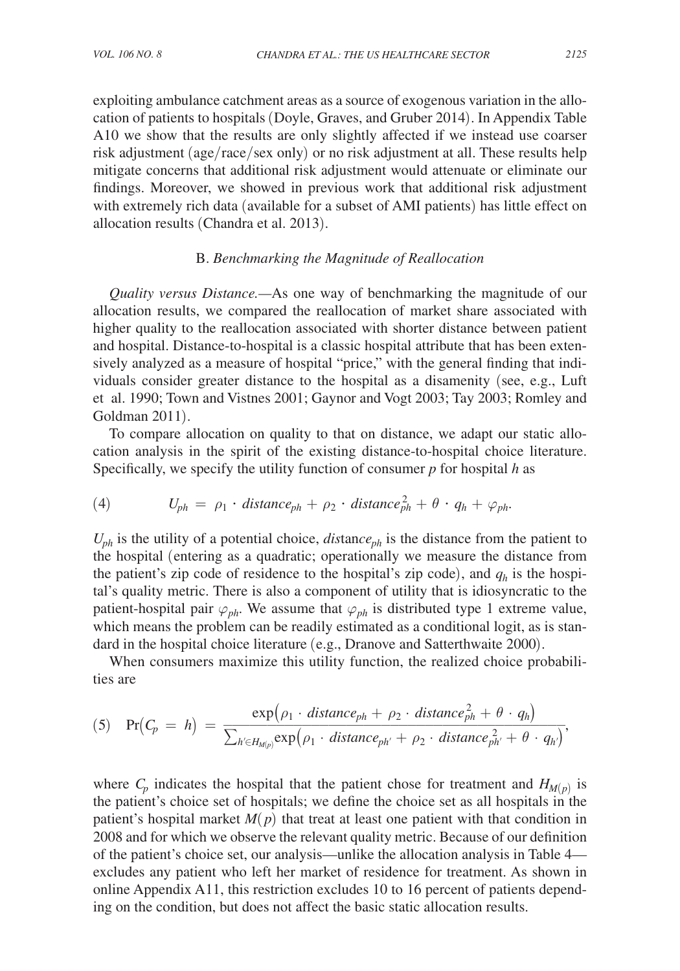exploiting ambulance catchment areas as a source of exogenous variation in the allocation of patients to hospitals (Doyle, Graves, and Gruber 2014). In Appendix Table A10 we show that the results are only slightly affected if we instead use coarser risk adjustment (age/race/sex only) or no risk adjustment at all. These results help mitigate concerns that additional risk adjustment would attenuate or eliminate our findings. Moreover, we showed in previous work that additional risk adjustment with extremely rich data (available for a subset of AMI patients) has little effect on allocation results (Chandra et al. 2013).

## B. *Benchmarking the Magnitude of Reallocation*

*Quality versus Distance.—*As one way of benchmarking the magnitude of our allocation results, we compared the reallocation of market share associated with higher quality to the reallocation associated with shorter distance between patient and hospital. Distance-to-hospital is a classic hospital attribute that has been extensively analyzed as a measure of hospital "price," with the general finding that individuals consider greater distance to the hospital as a disamenity (see, e.g., Luft et al. 1990; Town and Vistnes 2001; Gaynor and Vogt 2003; Tay 2003; Romley and Goldman 2011).

To compare allocation on quality to that on distance, we adapt our static allocation analysis in the spirit of the existing distance-to-hospital choice literature. Specifically, we specify the utility function of consumer *p* for hospital *h* as

(4) 
$$
U_{ph} = \rho_1 \cdot distance_{ph} + \rho_2 \cdot distance_{ph}^2 + \theta \cdot q_h + \varphi_{ph}.
$$

 $U_{ph}$  is the utility of a potential choice, *distance<sub>ph</sub>* is the distance from the patient to the hospital (entering as a quadratic; operationally we measure the distance from the patient's zip code of residence to the hospital's zip code), and  $q_h$  is the hospital's quality metric. There is also a component of utility that is idiosyncratic to the patient-hospital pair  $\varphi_{ph}$ . We assume that  $\varphi_{ph}$  is distributed type 1 extreme value, which means the problem can be readily estimated as a conditional logit, as is standard in the hospital choice literature (e.g., Dranove and Satterthwaite 2000).

When consumers maximize this utility function, the realized choice probabilities are

ties are  
\n(5) 
$$
Pr(C_p = h) = \frac{\exp(\rho_1 \cdot distance_{ph} + \rho_2 \cdot distance_{ph}^2 + \theta \cdot q_h)}{\sum_{h' \in H_{M(p)}} \exp(\rho_1 \cdot distance_{ph'} + \rho_2 \cdot distance_{ph'}^2 + \theta \cdot q_{h'})},
$$

where  $C_p$  indicates the hospital that the patient chose for treatment and  $H_{M(p)}$  is the patient's choice set of hospitals; we define the choice set as all hospitals in the patient's hospital market  $M(p)$  that treat at least one patient with that condition in 2008 and for which we observe the relevant quality metric. Because of our definition of the patient's choice set, our analysis—unlike the allocation analysis in Table 4 excludes any patient who left her market of residence for treatment. As shown in online Appendix A11, this restriction excludes 10 to 16 percent of patients depending on the condition, but does not affect the basic static allocation results.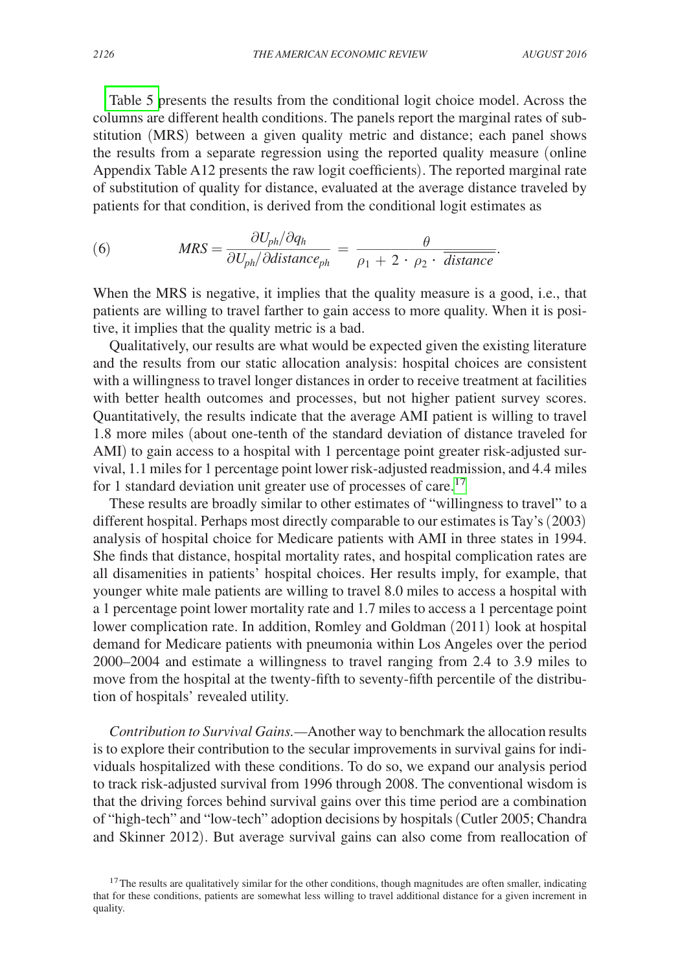[Table 5 p](#page-17-0)resents the results from the conditional logit choice model. Across the columns are different health conditions. The panels report the marginal rates of substitution (MRS) between a given quality metric and distance; each panel shows the results from a separate regression using the reported quality measure (online Appendix Table A12 presents the raw logit coefficients). The reported marginal rate of substitution of quality for distance, evaluated at the average distance traveled by patients for that condition, is derived from the conditional logit estimates as

(6) 
$$
MRS = \frac{\partial U_{ph}/\partial q_h}{\partial U_{ph}/\partial distance_{ph}} = \frac{\theta}{\rho_1 + 2 \cdot \rho_2 \cdot \overline{distance}}.
$$

When the MRS is negative, it implies that the quality measure is a good, i.e., that patients are willing to travel farther to gain access to more quality. When it is positive, it implies that the quality metric is a bad.

Qualitatively, our results are what would be expected given the existing literature and the results from our static allocation analysis: hospital choices are consistent with a willingness to travel longer distances in order to receive treatment at facilities with better health outcomes and processes, but not higher patient survey scores. Quantitatively, the results indicate that the average AMI patient is willing to travel 1.8 more miles (about one-tenth of the standard deviation of distance traveled for AMI) to gain access to a hospital with 1 percentage point greater risk-adjusted survival, 1.1 miles for 1 percentage point lower risk-adjusted readmission, and 4.4 miles for 1 standard deviation unit greater use of processes of care.<sup>[17](#page-16-0)</sup>

These results are broadly similar to other estimates of "willingness to travel" to a different hospital. Perhaps most directly comparable to our estimates is Tay's (2003) analysis of hospital choice for Medicare patients with AMI in three states in 1994. She finds that distance, hospital mortality rates, and hospital complication rates are all disamenities in patients' hospital choices. Her results imply, for example, that younger white male patients are willing to travel 8.0 miles to access a hospital with a 1 percentage point lower mortality rate and 1.7 miles to access a 1 percentage point lower complication rate. In addition, Romley and Goldman (2011) look at hospital demand for Medicare patients with pneumonia within Los Angeles over the period 2000–2004 and estimate a willingness to travel ranging from 2.4 to 3.9 miles to move from the hospital at the twenty-fifth to seventy-fifth percentile of the distribution of hospitals' revealed utility.

*Contribution to Survival Gains.—*Another way to benchmark the allocation results is to explore their contribution to the secular improvements in survival gains for individuals hospitalized with these conditions. To do so, we expand our analysis period to track risk-adjusted survival from 1996 through 2008. The conventional wisdom is that the driving forces behind survival gains over this time period are a combination of "high-tech" and "low-tech" adoption decisions by hospitals (Cutler 2005; Chandra and Skinner 2012). But average survival gains can also come from reallocation of

<span id="page-16-0"></span> $17$ The results are qualitatively similar for the other conditions, though magnitudes are often smaller, indicating that for these conditions, patients are somewhat less willing to travel additional distance for a given increment in quality.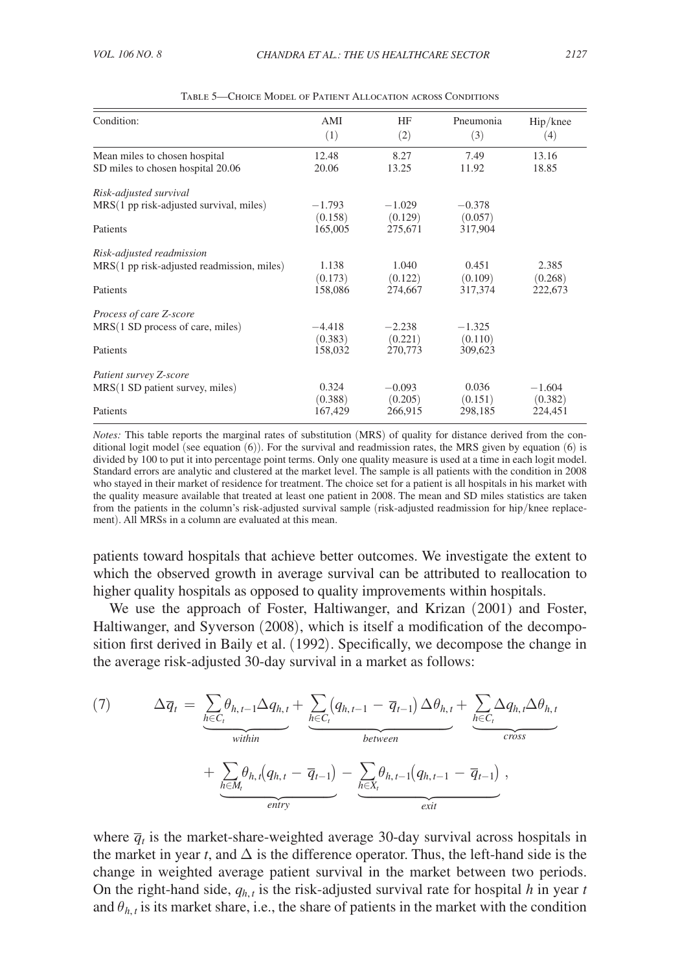<span id="page-17-0"></span>

| Condition:                                 | AMI<br>(1) | HF<br>(2) | Pneumonia<br>(3) | $\text{Hip}/\text{knee}$<br>(4) |
|--------------------------------------------|------------|-----------|------------------|---------------------------------|
| Mean miles to chosen hospital              | 12.48      | 8.27      | 7.49             | 13.16                           |
| SD miles to chosen hospital 20.06          | 20.06      | 13.25     | 11.92            | 18.85                           |
| Risk-adjusted survival                     |            |           |                  |                                 |
| MRS(1 pp risk-adjusted survival, miles)    | $-1.793$   | $-1.029$  | $-0.378$         |                                 |
|                                            | (0.158)    | (0.129)   | (0.057)          |                                 |
| Patients                                   | 165,005    | 275,671   | 317,904          |                                 |
| Risk-adjusted readmission                  |            |           |                  |                                 |
| MRS(1 pp risk-adjusted readmission, miles) | 1.138      | 1.040     | 0.451            | 2.385                           |
|                                            | (0.173)    | (0.122)   | (0.109)          | (0.268)                         |
| Patients                                   | 158,086    | 274,667   | 317,374          | 222,673                         |
| Process of care Z-score                    |            |           |                  |                                 |
| $MRS(1 SD)$ process of care, miles)        | $-4.418$   | $-2.238$  | $-1.325$         |                                 |
|                                            | (0.383)    | (0.221)   | (0.110)          |                                 |
| Patients                                   | 158,032    | 270,773   | 309,623          |                                 |
| Patient survey Z-score                     |            |           |                  |                                 |
| MRS(1 SD patient survey, miles)            | 0.324      | $-0.093$  | 0.036            | $-1.604$                        |
|                                            | (0.388)    | (0.205)   | (0.151)          | (0.382)                         |
| Patients                                   | 167,429    | 266,915   | 298,185          | 224,451                         |
|                                            |            |           |                  |                                 |

Table 5—Choice Model of Patient Allocation across Conditions

*Notes:* This table reports the marginal rates of substitution (MRS) of quality for distance derived from the conditional logit model (see equation (6)). For the survival and readmission rates, the MRS given by equation (6) is divided by 100 to put it into percentage point terms. Only one quality measure is used at a time in each logit model. Standard errors are analytic and clustered at the market level. The sample is all patients with the condition in 2008 who stayed in their market of residence for treatment. The choice set for a patient is all hospitals in his market with the quality measure available that treated at least one patient in 2008. The mean and SD miles statistics are taken from the patients in the column's risk-adjusted survival sample (risk-adjusted readmission for hip/knee replacement). All MRSs in a column are evaluated at this mean.

patients toward hospitals that achieve better outcomes. We investigate the extent to which the observed growth in average survival can be attributed to reallocation to higher quality hospitals as opposed to quality improvements within hospitals.

We use the approach of Foster, Haltiwanger, and Krizan (2001) and Foster, Haltiwanger, and Syverson (2008), which is itself a modification of the decomposition first derived in Baily et al. (1992). Specifically, we decompose the change in the average risk-adjusted 30-day survival in a market as follows:

(7) 
$$
\Delta \overline{q}_t = \underbrace{\sum_{h \in C_t} \theta_{h,t-1} \Delta q_{h,t}}_{within} + \underbrace{\sum_{h \in C_t} (q_{h,t-1} - \overline{q}_{t-1}) \Delta \theta_{h,t}}_{between} + \underbrace{\sum_{h \in C_t} \Delta q_{h,t} \Delta \theta_{h,t}}_{entry} + \underbrace{\sum_{h \in M_t} \theta_{h,t} (q_{h,t} - \overline{q}_{t-1})}_{entry} - \underbrace{\sum_{h \in X_t} \theta_{h,t-1} (q_{h,t-1} - \overline{q}_{t-1})}_{exit},
$$

where  $\overline{q}_t$  is the market-share-weighted average 30-day survival across hospitals in the market in year *t*, and  $\Delta$  is the difference operator. Thus, the left-hand side is the change in weighted average patient survival in the market between two periods. On the right-hand side, *qh*, *<sup>t</sup>* is the risk-adjusted survival rate for hospital *h* in year *t* and  $\theta_{h,t}$  is its market share, i.e., the share of patients in the market with the condition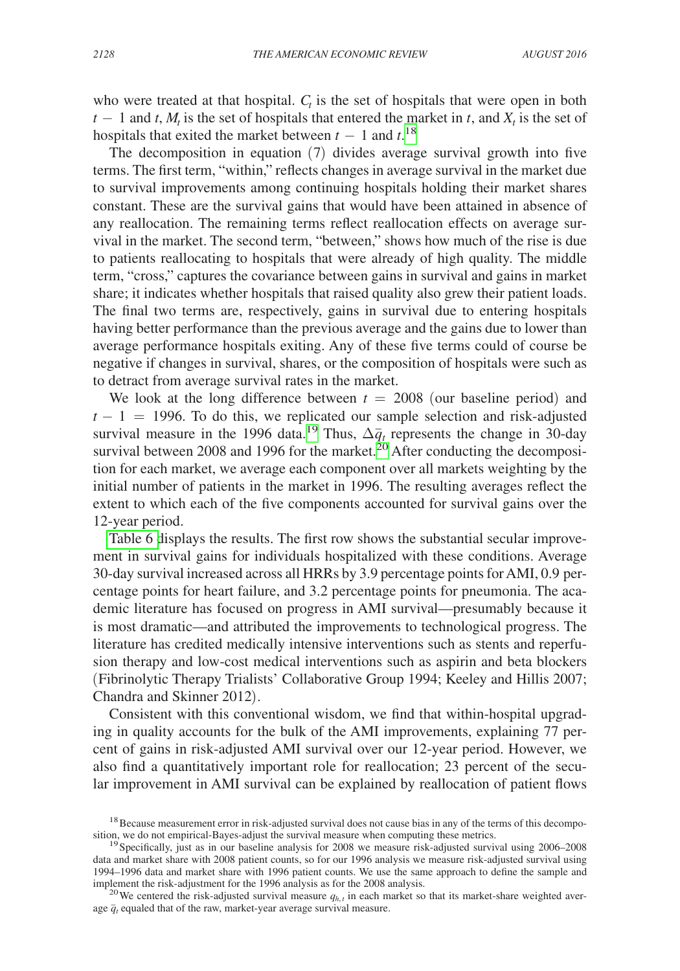who were treated at that hospital.  $C_t$  is the set of hospitals that were open in both  $t - 1$  and  $t$ ,  $M_t$  is the set of hospitals that entered the market in  $t$ , and  $X_t$  is the set of hospitals that exited the market between  $t - 1$  and  $t$ .<sup>[18](#page-18-0)</sup>

The decomposition in equation (7) divides average survival growth into five terms. The first term, "within," reflects changes in average survival in the market due to survival improvements among continuing hospitals holding their market shares constant. These are the survival gains that would have been attained in absence of any reallocation. The remaining terms reflect reallocation effects on average survival in the market. The second term, "between," shows how much of the rise is due to patients reallocating to hospitals that were already of high quality. The middle term, "cross," captures the covariance between gains in survival and gains in market share; it indicates whether hospitals that raised quality also grew their patient loads. The final two terms are, respectively, gains in survival due to entering hospitals having better performance than the previous average and the gains due to lower than average performance hospitals exiting. Any of these five terms could of course be negative if changes in survival, shares, or the composition of hospitals were such as to detract from average survival rates in the market.

We look at the long difference between  $t = 2008$  (our baseline period) and  $t - 1 = 1996$ . To do this, we replicated our sample selection and risk-adjusted survival measure in the 1996 data.<sup>19</sup> Thus,  $\Delta \bar{q}_t$  represents the change in 30-day survival between 2008 and 1996 for the market.<sup>20</sup> After conducting the decomposition for each market, we average each component over all markets weighting by the initial number of patients in the market in 1996. The resulting averages reflect the extent to which each of the five components accounted for survival gains over the 12-year period.

[Table 6 d](#page-19-0)isplays the results. The first row shows the substantial secular improvement in survival gains for individuals hospitalized with these conditions. Average 30-day survival increased across all HRRs by 3.9 percentage points for AMI, 0.9 percentage points for heart failure, and 3.2 percentage points for pneumonia. The academic literature has focused on progress in AMI survival—presumably because it is most dramatic—and attributed the improvements to technological progress. The literature has credited medically intensive interventions such as stents and reperfusion therapy and low-cost medical interventions such as aspirin and beta blockers (Fibrinolytic Therapy Trialists' Collaborative Group 1994; Keeley and Hillis 2007; Chandra and Skinner 2012).

Consistent with this conventional wisdom, we find that within-hospital upgrading in quality accounts for the bulk of the AMI improvements, explaining 77 percent of gains in risk-adjusted AMI survival over our 12-year period. However, we also find a quantitatively important role for reallocation; 23 percent of the secular improvement in AMI survival can be explained by reallocation of patient flows

<span id="page-18-0"></span><sup>&</sup>lt;sup>18</sup>Because measurement error in risk-adjusted survival does not cause bias in any of the terms of this decomposition, we do not empirical-Bayes-adjust the survival measure when computing these metrics.

<span id="page-18-1"></span> $19$  Specifically, just as in our baseline analysis for 2008 we measure risk-adjusted survival using 2006–2008 data and market share with 2008 patient counts, so for our 1996 analysis we measure risk-adjusted survival using 1994–1996 data and market share with 1996 patient counts. We use the same approach to define the sample and

<span id="page-18-2"></span>implement the risk-adjustment for the 1996 analysis as for the 2008 analysis.<br><sup>20</sup>We centered the risk-adjusted survival measure  $q_{h,t}$  in each market so that its market-share weighted average  $\bar{q}_t$  equaled that of the raw, market-year average survival measure.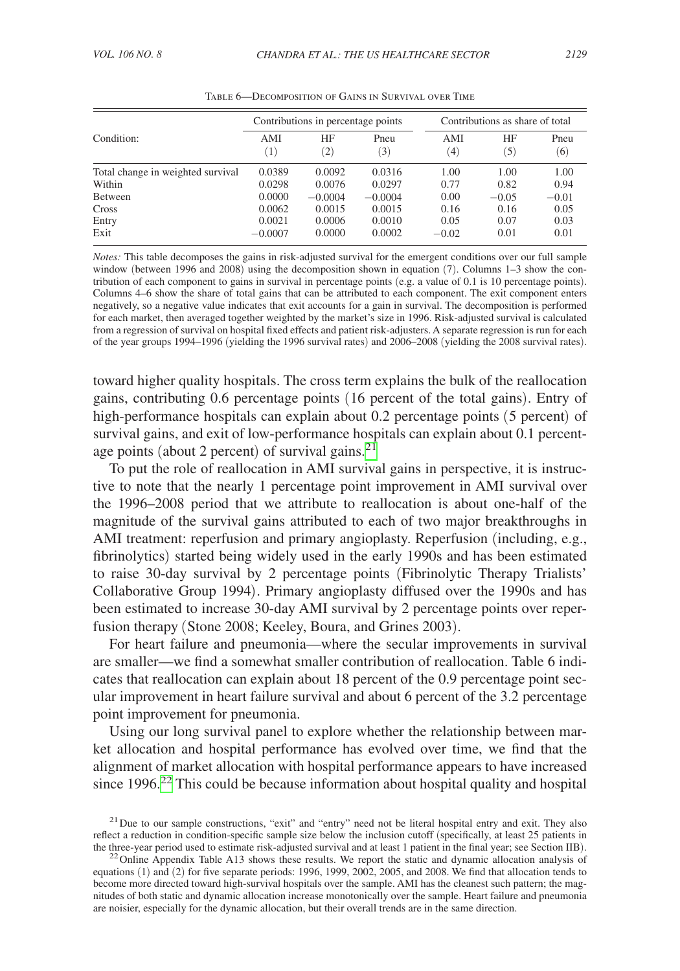<span id="page-19-0"></span>

|                                   |            | Contributions in percentage points |             |            | Contributions as share of total |             |  |  |
|-----------------------------------|------------|------------------------------------|-------------|------------|---------------------------------|-------------|--|--|
| Condition:                        | AMI<br>(1) | HF<br>(2)                          | Pneu<br>(3) | AMI<br>(4) | <b>HF</b><br>(5)                | Pneu<br>(6) |  |  |
| Total change in weighted survival | 0.0389     | 0.0092                             | 0.0316      | 1.00       | 1.00                            | 1.00        |  |  |
| Within                            | 0.0298     | 0.0076                             | 0.0297      | 0.77       | 0.82                            | 0.94        |  |  |
| <b>Between</b>                    | 0.0000     | $-0.0004$                          | $-0.0004$   | 0.00       | $-0.05$                         | $-0.01$     |  |  |
| Cross                             | 0.0062     | 0.0015                             | 0.0015      | 0.16       | 0.16                            | 0.05        |  |  |
| Entry                             | 0.0021     | 0.0006                             | 0.0010      | 0.05       | 0.07                            | 0.03        |  |  |
| Exit                              | $-0.0007$  | 0.0000                             | 0.0002      | $-0.02$    | 0.01                            | 0.01        |  |  |

Table 6—Decomposition of Gains in Survival over Time

*Notes:* This table decomposes the gains in risk-adjusted survival for the emergent conditions over our full sample window (between 1996 and 2008) using the decomposition shown in equation (7). Columns 1–3 show the contribution of each component to gains in survival in percentage points (e.g. a value of 0.1 is 10 percentage points). Columns 4–6 show the share of total gains that can be attributed to each component. The exit component enters negatively, so a negative value indicates that exit accounts for a gain in survival. The decomposition is performed for each market, then averaged together weighted by the market's size in 1996. Risk-adjusted survival is calculated from a regression of survival on hospital fixed effects and patient risk-adjusters. A separate regression is run for each of the year groups 1994–1996 (yielding the 1996 survival rates) and 2006–2008 (yielding the 2008 survival rates).

toward higher quality hospitals. The cross term explains the bulk of the reallocation gains, contributing 0.6 percentage points (16 percent of the total gains). Entry of high-performance hospitals can explain about 0.2 percentage points (5 percent) of survival gains, and exit of low-performance hospitals can explain about 0.1 percentage points (about 2 percent) of survival gains. $2<sup>1</sup>$ 

To put the role of reallocation in AMI survival gains in perspective, it is instructive to note that the nearly 1 percentage point improvement in AMI survival over the 1996–2008 period that we attribute to reallocation is about one-half of the magnitude of the survival gains attributed to each of two major breakthroughs in AMI treatment: reperfusion and primary angioplasty. Reperfusion (including, e.g., fibrinolytics) started being widely used in the early 1990s and has been estimated to raise 30-day survival by 2 percentage points (Fibrinolytic Therapy Trialists' Collaborative Group 1994). Primary angioplasty diffused over the 1990s and has been estimated to increase 30-day AMI survival by 2 percentage points over reperfusion therapy (Stone 2008; Keeley, Boura, and Grines 2003).

For heart failure and pneumonia—where the secular improvements in survival are smaller—we find a somewhat smaller contribution of reallocation. Table 6 indicates that reallocation can explain about 18 percent of the 0.9 percentage point secular improvement in heart failure survival and about 6 percent of the 3.2 percentage point improvement for pneumonia.

Using our long survival panel to explore whether the relationship between market allocation and hospital performance has evolved over time, we find that the alignment of market allocation with hospital performance appears to have increased since 1996.<sup>22</sup> This could be because information about hospital quality and hospital

<span id="page-19-1"></span> $21$  Due to our sample constructions, "exit" and "entry" need not be literal hospital entry and exit. They also reflect a reduction in condition-specific sample size below the inclusion cutoff (specifically, at least 25 patients in the three-year period used to estimate risk-adjusted survival and at least 1 patient in the final year

<span id="page-19-2"></span><sup>&</sup>lt;sup>22</sup> Online Appendix Table A13 shows these results. We report the static and dynamic allocation analysis of equations (1) and (2) for five separate periods: 1996, 1999, 2002, 2005, and 2008. We find that allocation tends to become more directed toward high-survival hospitals over the sample. AMI has the cleanest such pattern; the magnitudes of both static and dynamic allocation increase monotonically over the sample. Heart failure and pneumonia are noisier, especially for the dynamic allocation, but their overall trends are in the same direction.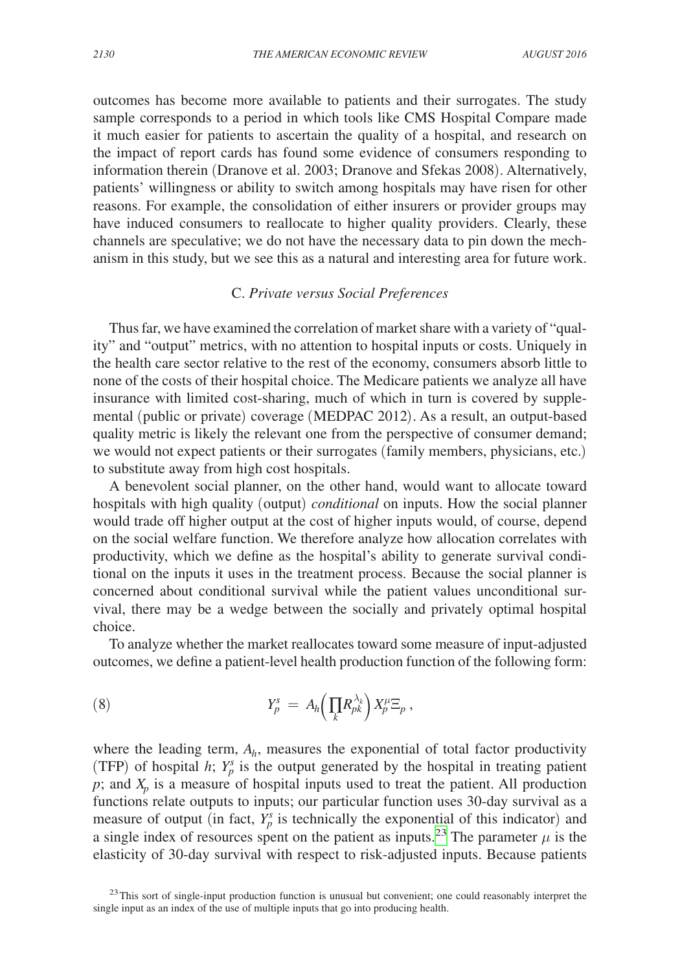outcomes has become more available to patients and their surrogates. The study sample corresponds to a period in which tools like CMS Hospital Compare made it much easier for patients to ascertain the quality of a hospital, and research on the impact of report cards has found some evidence of consumers responding to information therein (Dranove et al. 2003; Dranove and Sfekas 2008). Alternatively, patients' willingness or ability to switch among hospitals may have risen for other reasons. For example, the consolidation of either insurers or provider groups may have induced consumers to reallocate to higher quality providers. Clearly, these channels are speculative; we do not have the necessary data to pin down the mechanism in this study, but we see this as a natural and interesting area for future work.

#### C. *Private versus Social Preferences*

Thus far, we have examined the correlation of market share with a variety of "quality" and "output" metrics, with no attention to hospital inputs or costs. Uniquely in the health care sector relative to the rest of the economy, consumers absorb little to none of the costs of their hospital choice. The Medicare patients we analyze all have insurance with limited cost-sharing, much of which in turn is covered by supplemental (public or private) coverage (MEDPAC 2012). As a result, an output-based quality metric is likely the relevant one from the perspective of consumer demand; we would not expect patients or their surrogates (family members, physicians, etc.) to substitute away from high cost hospitals.

A benevolent social planner, on the other hand, would want to allocate toward hospitals with high quality (output) *conditional* on inputs. How the social planner would trade off higher output at the cost of higher inputs would, of course, depend on the social welfare function. We therefore analyze how allocation correlates with productivity, which we define as the hospital's ability to generate survival conditional on the inputs it uses in the treatment process. Because the social planner is concerned about conditional survival while the patient values unconditional survival, there may be a wedge between the socially and privately optimal hospital choice.

To analyze whether the market reallocates toward some measure of input-adjusted outcomes, we define a patient-level health production function of the following form:

(8) 
$$
Y_p^s = A_h \left( \prod_k R_{pk}^{\lambda_k} \right) X_p^{\mu} \Xi_p ,
$$

where the leading term,  $A<sub>h</sub>$ , measures the exponential of total factor productivity (TFP) of hospital  $h$ ;  $Y_p^s$  is the output generated by the hospital in treating patient  $p$ ; and  $X_p$  is a measure of hospital inputs used to treat the patient. All production functions relate outputs to inputs; our particular function uses 30-day survival as a measure of output (in fact,  $Y_p^s$  is technically the exponential of this indicator) and a single index of resources spent on the patient as inputs.<sup>23</sup> The parameter  $\mu$  is the elasticity of 30-day survival with respect to risk-adjusted inputs. Because patients

<span id="page-20-0"></span><sup>&</sup>lt;sup>23</sup>This sort of single-input production function is unusual but convenient; one could reasonably interpret the single input as an index of the use of multiple inputs that go into producing health.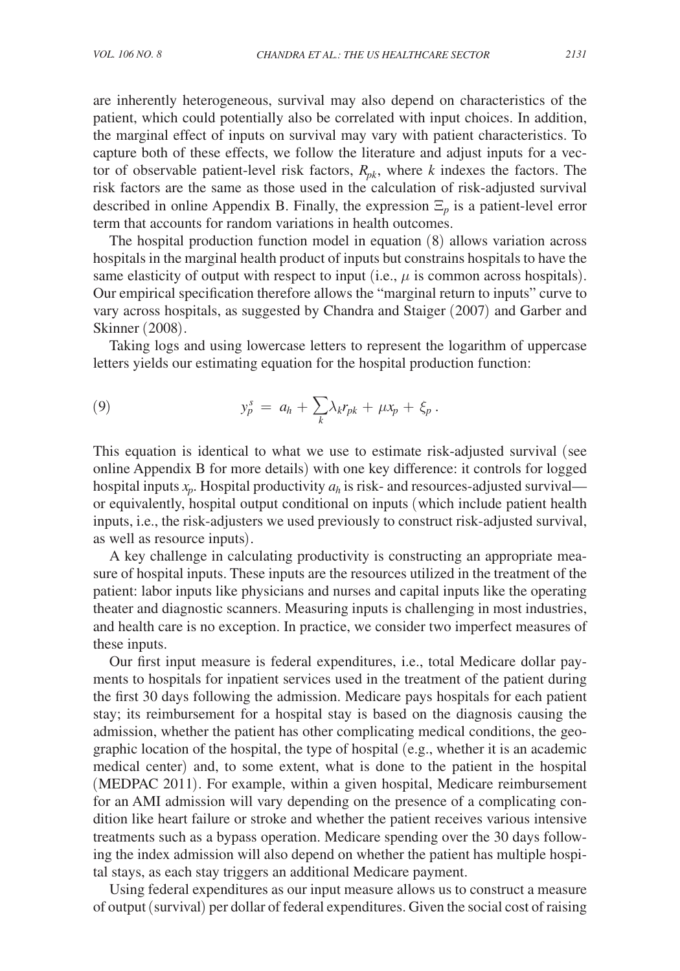are inherently heterogeneous, survival may also depend on characteristics of the patient, which could potentially also be correlated with input choices. In addition, the marginal effect of inputs on survival may vary with patient characteristics. To capture both of these effects, we follow the literature and adjust inputs for a vector of observable patient-level risk factors,  $R_{pk}$ , where *k* indexes the factors. The risk factors are the same as those used in the calculation of risk-adjusted survival described in online Appendix B. Finally, the expression  $\Xi_p$  is a patient-level error term that accounts for random variations in health outcomes.

The hospital production function model in equation (8) allows variation across hospitals in the marginal health product of inputs but constrains hospitals to have the same elasticity of output with respect to input (i.e.,  $\mu$  is common across hospitals). Our empirical specification therefore allows the "marginal return to inputs" curve to vary across hospitals, as suggested by Chandra and Staiger (2007) and Garber and Skinner (2008).

Taking logs and using lowercase letters to represent the logarithm of uppercase letters yields our estimating equation for the hospital production function:

(9) 
$$
y_p^s = a_h + \sum_k \lambda_k r_{pk} + \mu x_p + \xi_p.
$$

This equation is identical to what we use to estimate risk-adjusted survival (see online Appendix B for more details) with one key difference: it controls for logged hospital inputs  $x_n$ . Hospital productivity  $a_h$  is risk- and resources-adjusted survival or equivalently, hospital output conditional on inputs (which include patient health inputs, i.e., the risk-adjusters we used previously to construct risk-adjusted survival, as well as resource inputs).

A key challenge in calculating productivity is constructing an appropriate measure of hospital inputs. These inputs are the resources utilized in the treatment of the patient: labor inputs like physicians and nurses and capital inputs like the operating theater and diagnostic scanners. Measuring inputs is challenging in most industries, and health care is no exception. In practice, we consider two imperfect measures of these inputs.

Our first input measure is federal expenditures, i.e., total Medicare dollar payments to hospitals for inpatient services used in the treatment of the patient during the first 30 days following the admission. Medicare pays hospitals for each patient stay; its reimbursement for a hospital stay is based on the diagnosis causing the admission, whether the patient has other complicating medical conditions, the geographic location of the hospital, the type of hospital (e.g., whether it is an academic medical center) and, to some extent, what is done to the patient in the hospital (MEDPAC 2011). For example, within a given hospital, Medicare reimbursement for an AMI admission will vary depending on the presence of a complicating condition like heart failure or stroke and whether the patient receives various intensive treatments such as a bypass operation. Medicare spending over the 30 days following the index admission will also depend on whether the patient has multiple hospital stays, as each stay triggers an additional Medicare payment.

Using federal expenditures as our input measure allows us to construct a measure of output (survival) per dollar of federal expenditures. Given the social cost of raising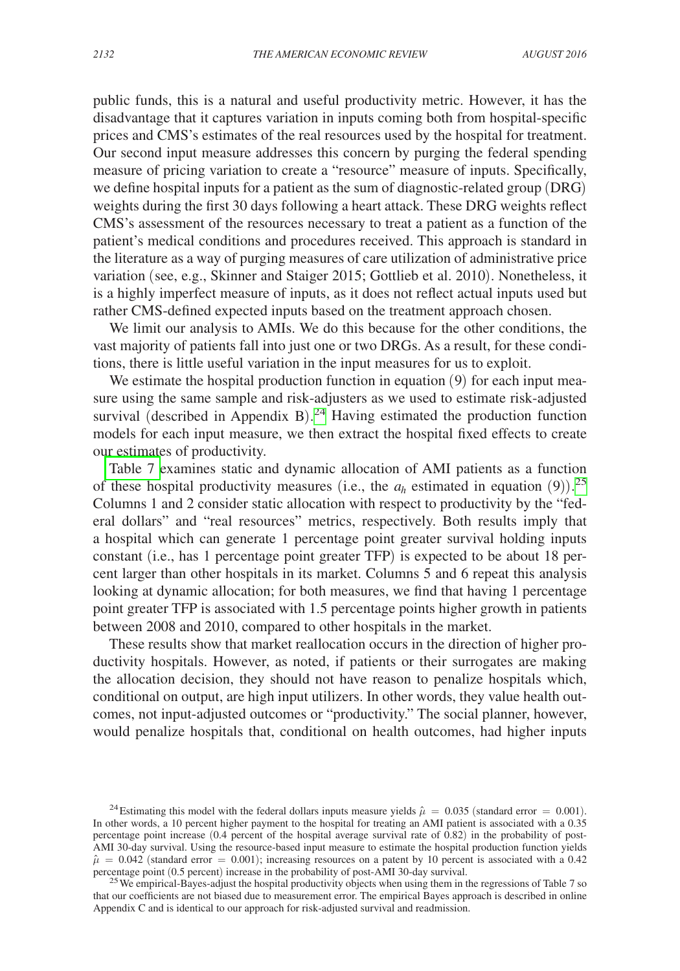public funds, this is a natural and useful productivity metric. However, it has the disadvantage that it captures variation in inputs coming both from hospital-specific prices and CMS's estimates of the real resources used by the hospital for treatment. Our second input measure addresses this concern by purging the federal spending measure of pricing variation to create a "resource" measure of inputs. Specifically, we define hospital inputs for a patient as the sum of diagnostic-related group (DRG) weights during the first 30 days following a heart attack. These DRG weights reflect CMS's assessment of the resources necessary to treat a patient as a function of the patient's medical conditions and procedures received. This approach is standard in the literature as a way of purging measures of care utilization of administrative price variation (see, e.g., Skinner and Staiger 2015; Gottlieb et al. 2010). Nonetheless, it is a highly imperfect measure of inputs, as it does not reflect actual inputs used but rather CMS-defined expected inputs based on the treatment approach chosen.

We limit our analysis to AMIs. We do this because for the other conditions, the vast majority of patients fall into just one or two DRGs. As a result, for these conditions, there is little useful variation in the input measures for us to exploit.

We estimate the hospital production function in equation (9) for each input measure using the same sample and risk-adjusters as we used to estimate risk-adjusted survival (described in Appendix B).<sup>[24](#page-22-0)</sup> Having estimated the production function models for each input measure, we then extract the hospital fixed effects to create our estimates of productivity.

[Table 7 e](#page-23-0)xamines static and dynamic allocation of AMI patients as a function of these hospital productivity measures (i.e., the  $a_h$  estimated in equation (9)).<sup>[25](#page-22-1)</sup> Columns 1 and 2 consider static allocation with respect to productivity by the "federal dollars" and "real resources" metrics, respectively. Both results imply that a hospital which can generate 1 percentage point greater survival holding inputs constant (i.e., has 1 percentage point greater TFP) is expected to be about 18 percent larger than other hospitals in its market. Columns 5 and 6 repeat this analysis looking at dynamic allocation; for both measures, we find that having 1 percentage point greater TFP is associated with 1.5 percentage points higher growth in patients between 2008 and 2010, compared to other hospitals in the market.

These results show that market reallocation occurs in the direction of higher productivity hospitals. However, as noted, if patients or their surrogates are making the allocation decision, they should not have reason to penalize hospitals which, conditional on output, are high input utilizers. In other words, they value health outcomes, not input-adjusted outcomes or "productivity." The social planner, however, would penalize hospitals that, conditional on health outcomes, had higher inputs

<span id="page-22-0"></span><sup>&</sup>lt;sup>24</sup>Estimating this model with the federal dollars inputs measure yields  $\hat{\mu} = 0.035$  (standard error = 0.001). In other words, a 10 percent higher payment to the hospital for treating an AMI patient is associated with a 0.35 percentage point increase (0.4 percent of the hospital average survival rate of 0.82) in the probability of post-AMI 30-day survival. Using the resource-based input measure to estimate the hospital production function yields  $\hat{\mu} = 0.042$  (standard error = 0.001); increasing resources on a patent by 10 percent is associated with a 0.42 percentage point (0.5 percent) increase in the probability of post-AMI 30-day survival.

<span id="page-22-1"></span><sup>&</sup>lt;sup>25</sup> We empirical-Bayes-adjust the hospital productivity objects when using them in the regressions of Table 7 so that our coefficients are not biased due to measurement error. The empirical Bayes approach is described in online Appendix C and is identical to our approach for risk-adjusted survival and readmission.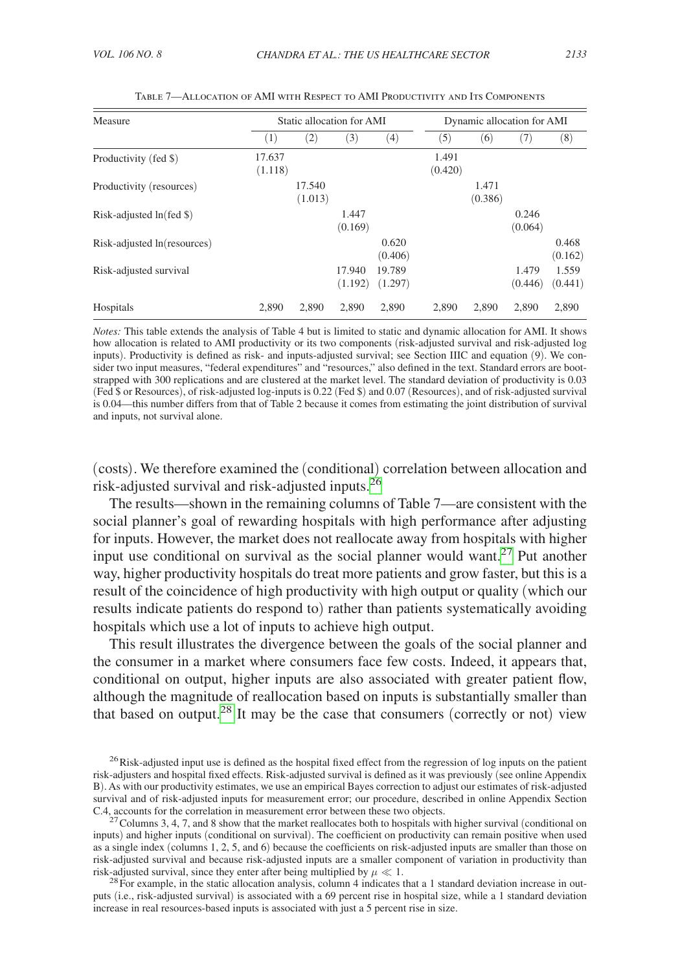<span id="page-23-0"></span>

| Measure                     |                   |                   | Static allocation for AMI |                   |                  | Dynamic allocation for AMI |                  |                  |  |
|-----------------------------|-------------------|-------------------|---------------------------|-------------------|------------------|----------------------------|------------------|------------------|--|
|                             | (1)               | $\left( 2\right)$ | (3)                       | $\left( 4\right)$ | (5)              | (6)                        | (7)              | (8)              |  |
| Productivity (fed \$)       | 17.637<br>(1.118) |                   |                           |                   | 1.491<br>(0.420) |                            |                  |                  |  |
| Productivity (resources)    |                   | 17.540<br>(1.013) |                           |                   |                  | 1.471<br>(0.386)           |                  |                  |  |
| Risk-adjusted $ln(fed \$    |                   |                   | 1.447<br>(0.169)          |                   |                  |                            | 0.246<br>(0.064) |                  |  |
| Risk-adjusted ln(resources) |                   |                   |                           | 0.620<br>(0.406)  |                  |                            |                  | 0.468<br>(0.162) |  |
| Risk-adjusted survival      |                   |                   | 17.940<br>(1.192)         | 19.789<br>(1.297) |                  |                            | 1.479<br>(0.446) | 1.559<br>(0.441) |  |
| Hospitals                   | 2.890             | 2.890             | 2.890                     | 2.890             | 2.890            | 2.890                      | 2.890            | 2.890            |  |

*Notes:* This table extends the analysis of Table 4 but is limited to static and dynamic allocation for AMI. It shows how allocation is related to AMI productivity or its two components (risk-adjusted survival and risk-adjusted log inputs). Productivity is defined as risk- and inputs-adjusted survival; see Section IIIC and equation (9). We consider two input measures, "federal expenditures" and "resources," also defined in the text. Standard errors are bootstrapped with 300 replications and are clustered at the market level. The standard deviation of productivity is 0.03 (Fed \$ or Resources), of risk-adjusted log-inputs is 0.22 (Fed \$) and 0.07 (Resources), and of risk-adjusted survival is 0.04—this number differs from that of Table 2 because it comes from estimating the joint distribution of survival and inputs, not survival alone.

(costs). We therefore examined the (conditional) correlation between allocation and risk-adjusted survival and risk-adjusted inputs.<sup>26</sup>

The results—shown in the remaining columns of Table 7—are consistent with the social planner's goal of rewarding hospitals with high performance after adjusting for inputs. However, the market does not reallocate away from hospitals with higher input use conditional on survival as the social planner would want[.27](#page-23-2) Put another way, higher productivity hospitals do treat more patients and grow faster, but this is a result of the coincidence of high productivity with high output or quality (which our results indicate patients do respond to) rather than patients systematically avoiding hospitals which use a lot of inputs to achieve high output.

This result illustrates the divergence between the goals of the social planner and the consumer in a market where consumers face few costs. Indeed, it appears that, conditional on output, higher inputs are also associated with greater patient flow, although the magnitude of reallocation based on inputs is substantially smaller than that based on output.<sup>28</sup> It may be the case that consumers (correctly or not) view

<span id="page-23-1"></span> $26$ Risk-adjusted input use is defined as the hospital fixed effect from the regression of log inputs on the patient risk-adjusters and hospital fixed effects. Risk-adjusted survival is defined as it was previously (see online Appendix B). As with our productivity estimates, we use an empirical Bayes correction to adjust our estimates of risk-adjusted survival and of risk-adjusted inputs for measurement error; our procedure, described in online Appendix Section C.4, accounts for the correlation in measurement error between these two objects.  $27$  Columns 3, 4, 7, and 8 show that the market reallocates both to hospitals with higher survival (conditional on

<span id="page-23-2"></span>inputs) and higher inputs (conditional on survival). The coefficient on productivity can remain positive when used as a single index (columns 1, 2, 5, and 6) because the coefficients on risk-adjusted inputs are smaller than those on risk-adjusted survival and because risk-adjusted inputs are a smaller component of variation in productivity than risk-adjusted survival, since they enter after being multiplied by  $\mu \ll 1$ .

<span id="page-23-3"></span> $^{28}$  For example, in the static allocation analysis, column 4 indicates that a 1 standard deviation increase in outputs (i.e., risk-adjusted survival) is associated with a 69 percent rise in hospital size, while a 1 standard deviation increase in real resources-based inputs is associated with just a 5 percent rise in size.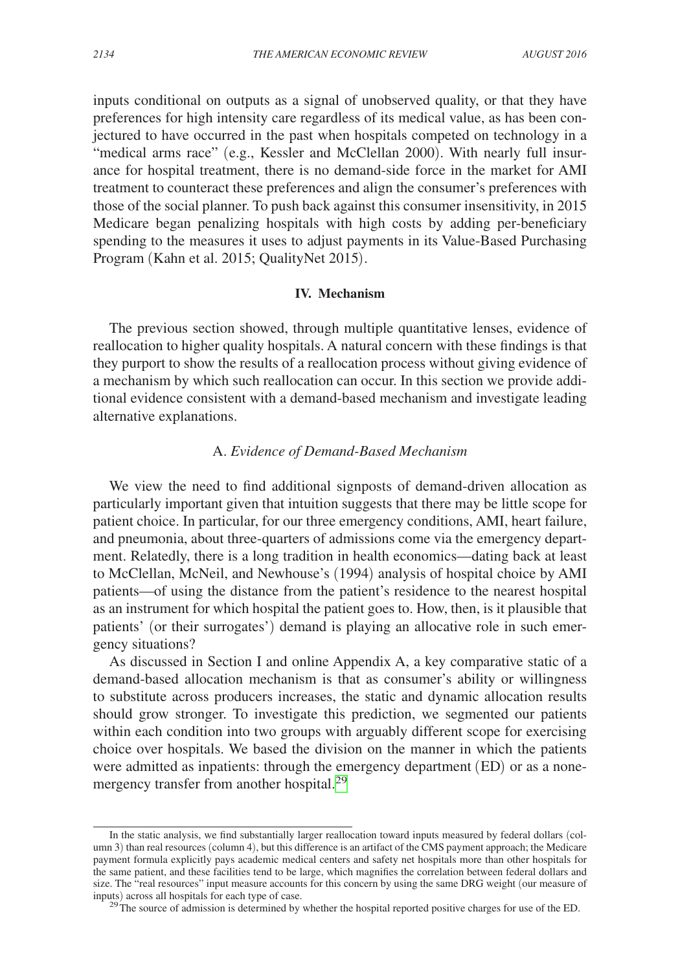inputs conditional on outputs as a signal of unobserved quality, or that they have preferences for high intensity care regardless of its medical value, as has been conjectured to have occurred in the past when hospitals competed on technology in a "medical arms race" (e.g., Kessler and McClellan 2000). With nearly full insurance for hospital treatment, there is no demand-side force in the market for AMI treatment to counteract these preferences and align the consumer's preferences with those of the social planner. To push back against this consumer insensitivity, in 2015 Medicare began penalizing hospitals with high costs by adding per-beneficiary spending to the measures it uses to adjust payments in its Value-Based Purchasing Program (Kahn et al. 2015; QualityNet 2015).

### **IV. Mechanism**

The previous section showed, through multiple quantitative lenses, evidence of reallocation to higher quality hospitals. A natural concern with these findings is that they purport to show the results of a reallocation process without giving evidence of a mechanism by which such reallocation can occur. In this section we provide additional evidence consistent with a demand-based mechanism and investigate leading alternative explanations.

## A. *Evidence of Demand-Based Mechanism*

We view the need to find additional signposts of demand-driven allocation as particularly important given that intuition suggests that there may be little scope for patient choice. In particular, for our three emergency conditions, AMI, heart failure, and pneumonia, about three-quarters of admissions come via the emergency department. Relatedly, there is a long tradition in health economics—dating back at least to McClellan, McNeil, and Newhouse's (1994) analysis of hospital choice by AMI patients—of using the distance from the patient's residence to the nearest hospital as an instrument for which hospital the patient goes to. How, then, is it plausible that patients' (or their surrogates') demand is playing an allocative role in such emergency situations?

As discussed in Section I and online Appendix A, a key comparative static of a demand-based allocation mechanism is that as consumer's ability or willingness to substitute across producers increases, the static and dynamic allocation results should grow stronger. To investigate this prediction, we segmented our patients within each condition into two groups with arguably different scope for exercising choice over hospitals. We based the division on the manner in which the patients were admitted as inpatients: through the emergency department (ED) or as a nonemergency transfer from another hospital.[29](#page-24-0)

In the static analysis, we find substantially larger reallocation toward inputs measured by federal dollars (column 3) than real resources (column 4), but this difference is an artifact of the CMS payment approach; the Medicare payment formula explicitly pays academic medical centers and safety net hospitals more than other hospitals for the same patient, and these facilities tend to be large, which magnifies the correlation between federal dollars and size. The "real resources" input measure accounts for this concern by using the same DRG weight (our measure of inputs) across all hospitals for each type of case.

<span id="page-24-0"></span> $^{29}$ The source of admission is determined by whether the hospital reported positive charges for use of the ED.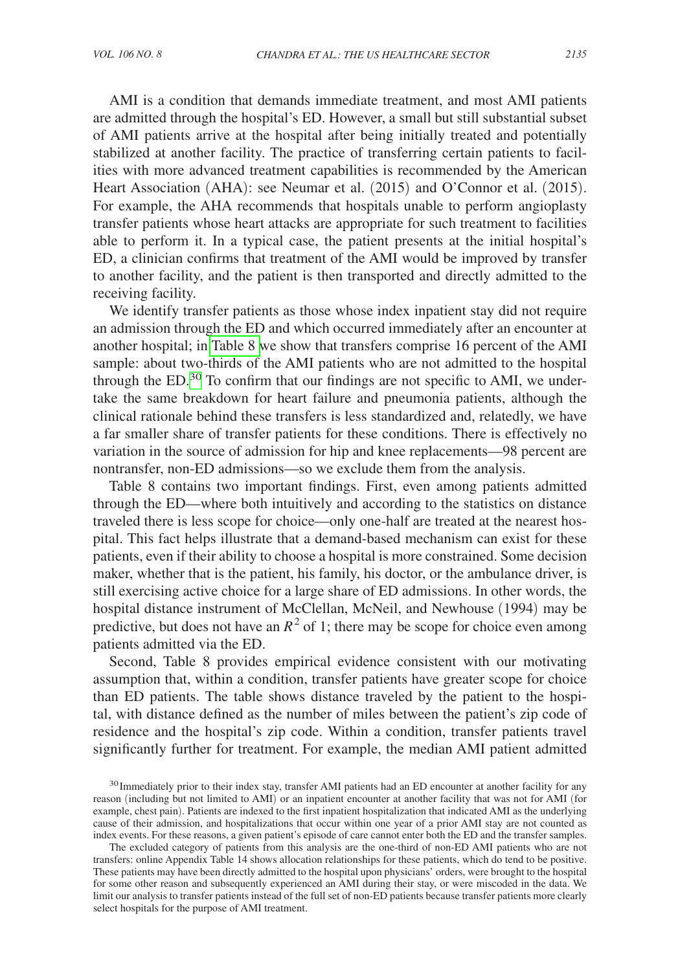AMI is a condition that demands immediate treatment, and most AMI patients are admitted through the hospital's ED. However, a small but still substantial subset of AMI patients arrive at the hospital after being initially treated and potentially stabilized at another facility. The practice of transferring certain patients to facilities with more advanced treatment capabilities is recommended by the American Heart Association (AHA): see Neumar et al. (2015) and O'Connor et al. (2015). For example, the AHA recommends that hospitals unable to perform angioplasty transfer patients whose heart attacks are appropriate for such treatment to facilities able to perform it. In a typical case, the patient presents at the initial hospital's ED, a clinician confirms that treatment of the AMI would be improved by transfer to another facility, and the patient is then transported and directly admitted to the receiving facility.

We identify transfer patients as those whose index inpatient stay did not require an admission through the ED and which occurred immediately after an encounter at another hospital; in [Table 8](#page-26-0) we show that transfers comprise 16 percent of the AMI sample: about two-thirds of the AMI patients who are not admitted to the hospital through the ED. $^{30}$  $^{30}$  $^{30}$  To confirm that our findings are not specific to AMI, we undertake the same breakdown for heart failure and pneumonia patients, although the clinical rationale behind these transfers is less standardized and, relatedly, we have a far smaller share of transfer patients for these conditions. There is effectively no variation in the source of admission for hip and knee replacements—98 percent are nontransfer, non-ED admissions—so we exclude them from the analysis.

Table 8 contains two important findings. First, even among patients admitted through the ED—where both intuitively and according to the statistics on distance traveled there is less scope for choice—only one-half are treated at the nearest hospital. This fact helps illustrate that a demand-based mechanism can exist for these patients, even if their ability to choose a hospital is more constrained. Some decision maker, whether that is the patient, his family, his doctor, or the ambulance driver, is still exercising active choice for a large share of ED admissions. In other words, the hospital distance instrument of McClellan, McNeil, and Newhouse (1994) may be predictive, but does not have an  $R^2$  of 1; there may be scope for choice even among patients admitted via the ED.

Second, Table 8 provides empirical evidence consistent with our motivating assumption that, within a condition, transfer patients have greater scope for choice than ED patients. The table shows distance traveled by the patient to the hospital, with distance defined as the number of miles between the patient's zip code of residence and the hospital's zip code. Within a condition, transfer patients travel significantly further for treatment. For example, the median AMI patient admitted

The excluded category of patients from this analysis are the one-third of non-ED AMI patients who are not transfers: online Appendix Table 14 shows allocation relationships for these patients, which do tend to be positive. These patients may have been directly admitted to the hospital upon physicians' orders, were brought to the hospital for some other reason and subsequently experienced an AMI during their stay, or were miscoded in the data. We limit our analysis to transfer patients instead of the full set of non-ED patients because transfer patients more clearly select hospitals for the purpose of AMI treatment.

<span id="page-25-0"></span><sup>&</sup>lt;sup>30</sup>Immediately prior to their index stay, transfer AMI patients had an ED encounter at another facility for any reason (including but not limited to AMI) or an inpatient encounter at another facility that was not for AMI (for example, chest pain). Patients are indexed to the first inpatient hospitalization that indicated AMI as the underlying cause of their admission, and hospitalizations that occur within one year of a prior AMI stay are not counted as index events. For these reasons, a given patient's episode of care cannot enter both the ED and the transfer samples.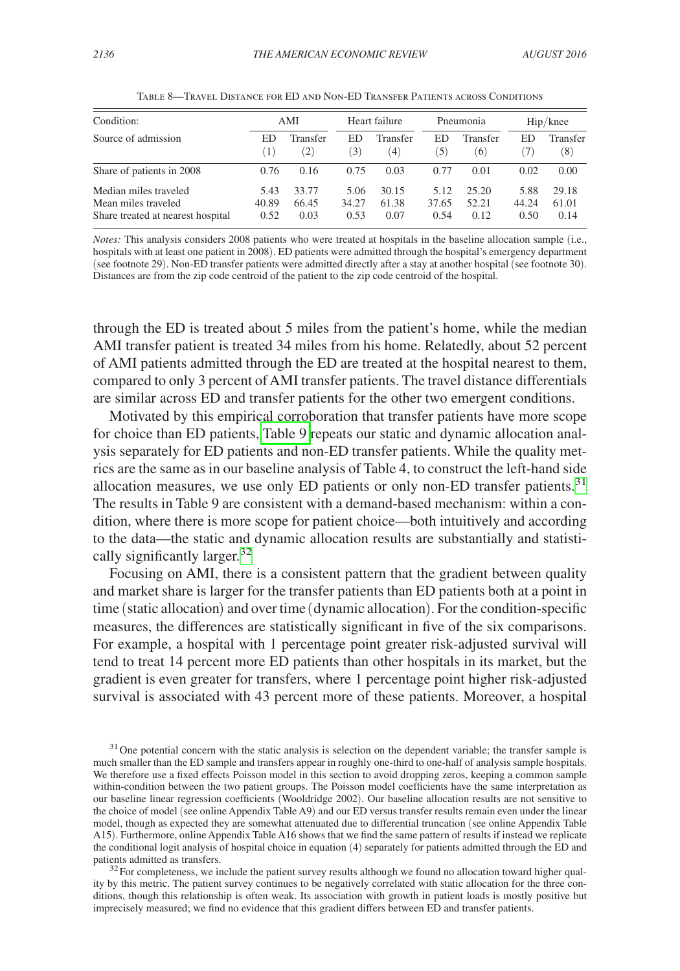<span id="page-26-0"></span>

| AMI                    |                 |                        | Heart failure                |               | Pneumonia       |               | $\text{Hip}/\text{knee}$ |  |
|------------------------|-----------------|------------------------|------------------------------|---------------|-----------------|---------------|--------------------------|--|
| ED<br>$\left(1\right)$ | Transfer<br>(2) | ED<br>$\left(3\right)$ | Transfer<br>$\left(4\right)$ | ED<br>(5)     | Transfer<br>(6) | ED            | Transfer<br>(8)          |  |
| 0.76                   | 0.16            | 0.75                   | 0.03                         | 0.77          | 0.01            | 0.02          | 0.00                     |  |
| 5.43<br>40.89          | 33.77<br>66.45  | 5.06<br>34.27          | 30.15<br>61.38               | 5.12<br>37.65 | 25.20<br>52.21  | 5.88<br>44.24 | 29.18<br>61.01<br>0.14   |  |
|                        | 0.52            | 0.03                   | 0.53                         | 0.07          | 0.54            | 0.12          | 0.50                     |  |

Table 8—Travel Distance for ED and Non-ED Transfer Patients across Conditions

*Notes:* This analysis considers 2008 patients who were treated at hospitals in the baseline allocation sample (i.e., hospitals with at least one patient in 2008). ED patients were admitted through the hospital's emergency department (see footnote 29). Non-ED transfer patients were admitted directly after a stay at another hospital (see footnote 30). Distances are from the zip code centroid of the patient to the zip code centroid of the hospital.

through the ED is treated about 5 miles from the patient's home, while the median AMI transfer patient is treated 34 miles from his home. Relatedly, about 52 percent of AMI patients admitted through the ED are treated at the hospital nearest to them, compared to only 3 percent of AMI transfer patients. The travel distance differentials are similar across ED and transfer patients for the other two emergent conditions.

Motivated by this empirical corroboration that transfer patients have more scope for choice than ED patients, [Table 9](#page-27-0) repeats our static and dynamic allocation analysis separately for ED patients and non-ED transfer patients. While the quality metrics are the same as in our baseline analysis of Table 4, to construct the left-hand side allocation measures, we use only ED patients or only non-ED transfer patients.<sup>[31](#page-26-1)</sup> The results in Table 9 are consistent with a demand-based mechanism: within a condition, where there is more scope for patient choice—both intuitively and according to the data—the static and dynamic allocation results are substantially and statisti-cally significantly larger.<sup>[32](#page-26-2)</sup>

Focusing on AMI, there is a consistent pattern that the gradient between quality and market share is larger for the transfer patients than ED patients both at a point in time (static allocation) and over time (dynamic allocation). For the condition-specific measures, the differences are statistically significant in five of the six comparisons. For example, a hospital with 1 percentage point greater risk-adjusted survival will tend to treat 14 percent more ED patients than other hospitals in its market, but the gradient is even greater for transfers, where 1 percentage point higher risk-adjusted survival is associated with 43 percent more of these patients. Moreover, a hospital

<span id="page-26-2"></span> $32$  For completeness, we include the patient survey results although we found no allocation toward higher quality by this metric. The patient survey continues to be negatively correlated with static allocation for the three conditions, though this relationship is often weak. Its association with growth in patient loads is mostly positive but imprecisely measured; we find no evidence that this gradient differs between ED and transfer patients.

<span id="page-26-1"></span><sup>&</sup>lt;sup>31</sup> One potential concern with the static analysis is selection on the dependent variable; the transfer sample is much smaller than the ED sample and transfers appear in roughly one-third to one-half of analysis sample hospitals. We therefore use a fixed effects Poisson model in this section to avoid dropping zeros, keeping a common sample within-condition between the two patient groups. The Poisson model coefficients have the same interpretation as our baseline linear regression coefficients (Wooldridge 2002). Our baseline allocation results are not sensitive to the choice of model (see online Appendix Table A9) and our ED versus transfer results remain even under the linear model, though as expected they are somewhat attenuated due to differential truncation (see online Appendix Table A15). Furthermore, online Appendix Table A16 shows that we find the same pattern of results if instead we replicate the conditional logit analysis of hospital choice in equation (4) separately for patients admitted through the ED and patients admitted as transfers.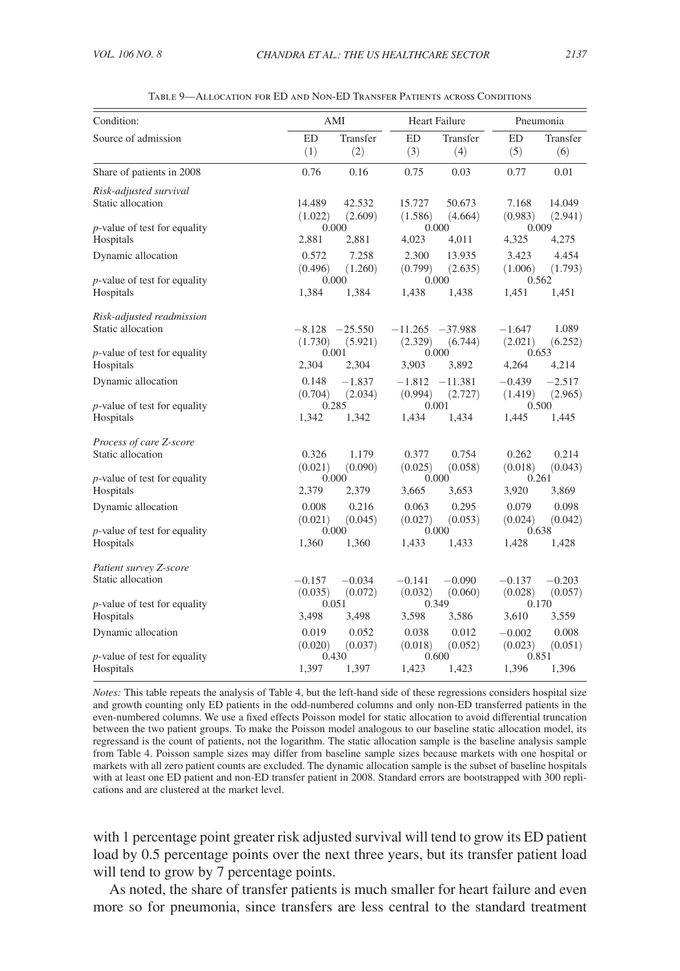<span id="page-27-0"></span>

| Condition:                                                                        |                     | AMI                           |                      | <b>Heart Failure</b>          | Pneumonia                         |                           |  |
|-----------------------------------------------------------------------------------|---------------------|-------------------------------|----------------------|-------------------------------|-----------------------------------|---------------------------|--|
| Source of admission                                                               | <b>ED</b><br>(1)    | Transfer<br>(2)               | ED<br>(3)            | Transfer<br>(4)               | $\mathop{\rm ED}\nolimits$<br>(5) | Transfer<br>(6)           |  |
| Share of patients in 2008                                                         | 0.76                | 0.16                          | 0.75                 | 0.03                          | 0.77                              | 0.01                      |  |
| Risk-adjusted survival<br>Static allocation                                       | 14.489<br>(1.022)   | 42.532<br>(2.609)             | 15.727<br>(1.586)    | 50.673<br>(4.664)             | 7.168<br>(0.983)                  | 14.049<br>(2.941)         |  |
| $p$ -value of test for equality<br>Hospitals                                      | 2,881               | 0.000<br>2,881                | 4,023                | 0.000<br>4,011                | 4,325                             | 0.009<br>4,275            |  |
| Dynamic allocation                                                                | 0.572<br>(0.496)    | 7.258<br>(1.260)              | 2.300<br>(0.799)     | 13.935<br>(2.635)             | 3.423<br>(1.006)                  | 4.454<br>(1.793)          |  |
| $p$ -value of test for equality<br>Hospitals                                      | 1,384               | 0.000<br>1,384                | 1,438                | 0.000<br>1,438                | 1,451                             | 0.562<br>1,451            |  |
| Risk-adjusted readmission<br>Static allocation<br>$p$ -value of test for equality | $-8.128$<br>(1.730) | $-25.550$<br>(5.921)<br>0.001 | $-11.265$<br>(2.329) | $-37.988$<br>(6.744)<br>0.000 | $-1.647$<br>(2.021)               | 1.089<br>(6.252)<br>0.653 |  |
| Hospitals                                                                         | 2,304               | 2,304                         | 3,903                | 3,892                         | 4,264                             | 4,214                     |  |
| Dynamic allocation                                                                | 0.148<br>(0.704)    | $-1.837$<br>(2.034)           | $-1.812$<br>(0.994)  | $-11.381$<br>(2.727)          | $-0.439$<br>(1.419)               | $-2.517$<br>(2.965)       |  |
| $p$ -value of test for equality<br>Hospitals                                      | 1,342               | 0.285<br>1,342                | 1,434                | 0.001<br>1,434                | 1,445                             | 0.500<br>1,445            |  |
| Process of care Z-score<br>Static allocation                                      | 0.326<br>(0.021)    | 1.179<br>(0.090)              | 0.377<br>(0.025)     | 0.754<br>(0.058)              | 0.262<br>(0.018)                  | 0.214<br>(0.043)          |  |
| $p$ -value of test for equality<br>Hospitals                                      | 2,379               | 0.000<br>2,379                | 3,665                | 0.000<br>3,653                | 3,920                             | 0.261<br>3,869            |  |
| Dynamic allocation                                                                | 0.008<br>(0.021)    | 0.216<br>(0.045)              | 0.063<br>(0.027)     | 0.295<br>(0.053)              | 0.079<br>(0.024)                  | 0.098<br>(0.042)          |  |
| $p$ -value of test for equality<br>Hospitals                                      | 1,360               | 0.000<br>1,360                | 1,433                | 0.000<br>1,433                | 1,428                             | 0.638<br>1,428            |  |
| Patient survey Z-score<br>Static allocation                                       | $-0.157$<br>(0.035) | $-0.034$<br>(0.072)           | $-0.141$<br>(0.032)  | $-0.090$<br>(0.060)           | $-0.137$<br>(0.028)               | $-0.203$<br>(0.057)       |  |
| <i>p</i> -value of test for equality<br>Hospitals                                 | 3,498               | 0.051<br>3,498                | 3,598                | 0.349<br>3,586                | 3,610                             | 0.170<br>3,559            |  |
| Dynamic allocation                                                                | 0.019<br>(0.020)    | 0.052<br>(0.037)              | 0.038<br>(0.018)     | 0.012<br>(0.052)              | $-0.002$<br>(0.023)               | 0.008<br>(0.051)          |  |
| $p$ -value of test for equality<br>Hospitals                                      | 1,397               | 0.430<br>1,397                | 1,423                | 0.600<br>1,423                | 1,396                             | 0.851<br>1,396            |  |

*Notes:* This table repeats the analysis of Table 4, but the left-hand side of these regressions considers hospital size and growth counting only ED patients in the odd-numbered columns and only non-ED transferred patients in the even-numbered columns. We use a fixed effects Poisson model for static allocation to avoid differential truncation between the two patient groups. To make the Poisson model analogous to our baseline static allocation model, its regressand is the count of patients, not the logarithm. The static allocation sample is the baseline analysis sample from Table 4. Poisson sample sizes may differ from baseline sample sizes because markets with one hospital or markets with all zero patient counts are excluded. The dynamic allocation sample is the subset of baseline hospitals with at least one ED patient and non-ED transfer patient in 2008. Standard errors are bootstrapped with 300 replications and are clustered at the market level.

with 1 percentage point greater risk adjusted survival will tend to grow its ED patient load by 0.5 percentage points over the next three years, but its transfer patient load will tend to grow by 7 percentage points.

As noted, the share of transfer patients is much smaller for heart failure and even more so for pneumonia, since transfers are less central to the standard treatment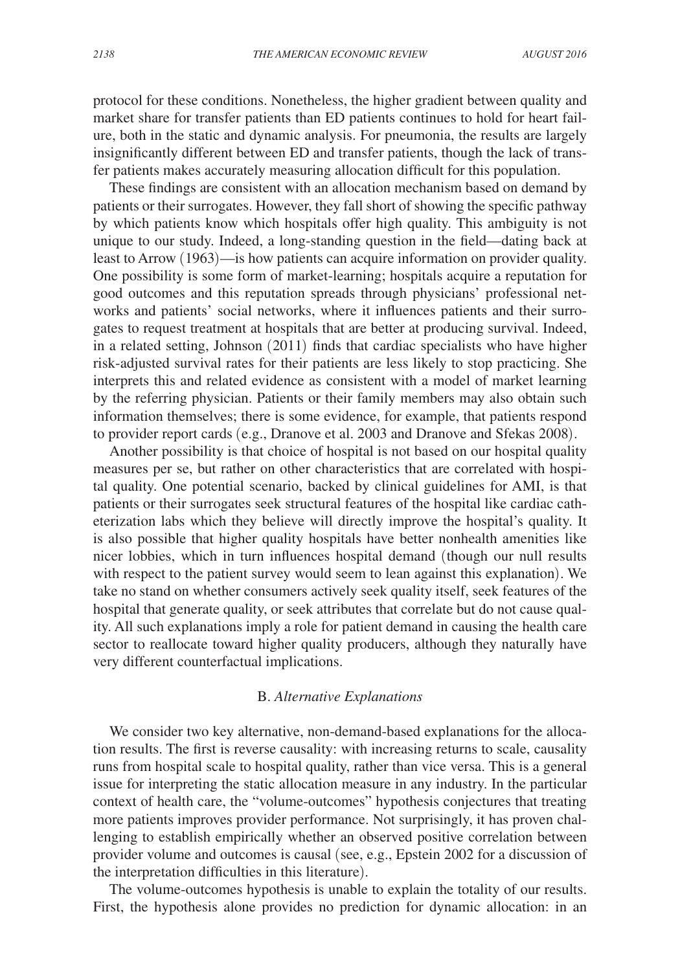protocol for these conditions. Nonetheless, the higher gradient between quality and market share for transfer patients than ED patients continues to hold for heart failure, both in the static and dynamic analysis. For pneumonia, the results are largely insignificantly different between ED and transfer patients, though the lack of transfer patients makes accurately measuring allocation difficult for this population.

These findings are consistent with an allocation mechanism based on demand by patients or their surrogates. However, they fall short of showing the specific pathway by which patients know which hospitals offer high quality. This ambiguity is not unique to our study. Indeed, a long-standing question in the field—dating back at least to Arrow (1963)—is how patients can acquire information on provider quality. One possibility is some form of market-learning; hospitals acquire a reputation for good outcomes and this reputation spreads through physicians' professional networks and patients' social networks, where it influences patients and their surrogates to request treatment at hospitals that are better at producing survival. Indeed, in a related setting, Johnson (2011) finds that cardiac specialists who have higher risk-adjusted survival rates for their patients are less likely to stop practicing. She interprets this and related evidence as consistent with a model of market learning by the referring physician. Patients or their family members may also obtain such information themselves; there is some evidence, for example, that patients respond to provider report cards (e.g., Dranove et al. 2003 and Dranove and Sfekas 2008).

Another possibility is that choice of hospital is not based on our hospital quality measures per se, but rather on other characteristics that are correlated with hospital quality. One potential scenario, backed by clinical guidelines for AMI, is that patients or their surrogates seek structural features of the hospital like cardiac catheterization labs which they believe will directly improve the hospital's quality. It is also possible that higher quality hospitals have better nonhealth amenities like nicer lobbies, which in turn influences hospital demand (though our null results with respect to the patient survey would seem to lean against this explanation). We take no stand on whether consumers actively seek quality itself, seek features of the hospital that generate quality, or seek attributes that correlate but do not cause quality. All such explanations imply a role for patient demand in causing the health care sector to reallocate toward higher quality producers, although they naturally have very different counterfactual implications.

## B. *Alternative Explanations*

We consider two key alternative, non-demand-based explanations for the allocation results. The first is reverse causality: with increasing returns to scale, causality runs from hospital scale to hospital quality, rather than vice versa. This is a general issue for interpreting the static allocation measure in any industry. In the particular context of health care, the "volume-outcomes" hypothesis conjectures that treating more patients improves provider performance. Not surprisingly, it has proven challenging to establish empirically whether an observed positive correlation between provider volume and outcomes is causal (see, e.g., Epstein 2002 for a discussion of the interpretation difficulties in this literature).

The volume-outcomes hypothesis is unable to explain the totality of our results. First, the hypothesis alone provides no prediction for dynamic allocation: in an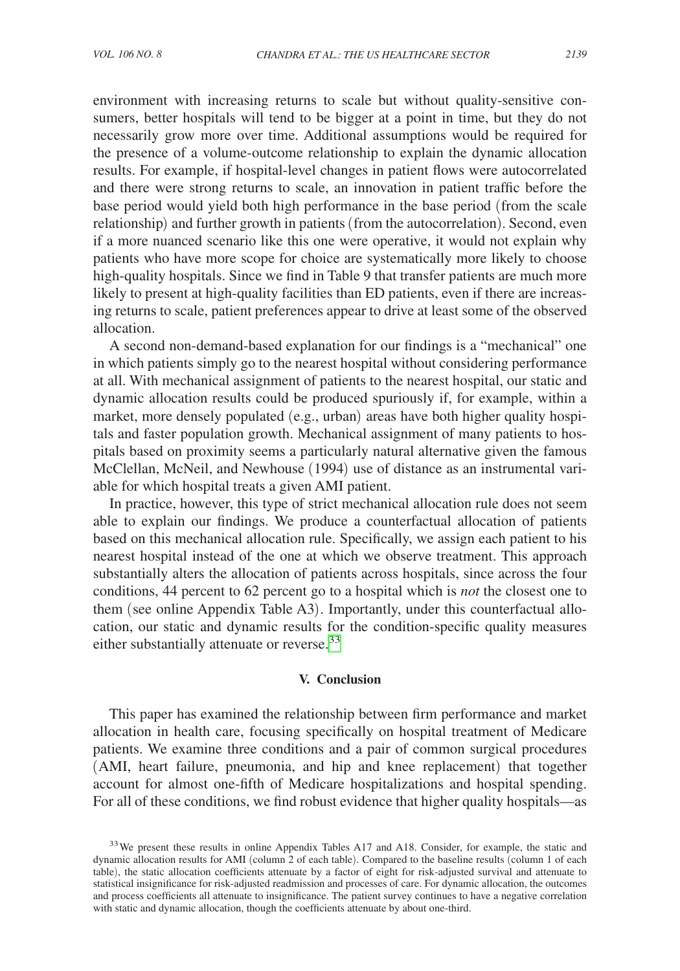environment with increasing returns to scale but without quality-sensitive consumers, better hospitals will tend to be bigger at a point in time, but they do not necessarily grow more over time. Additional assumptions would be required for the presence of a volume-outcome relationship to explain the dynamic allocation results. For example, if hospital-level changes in patient flows were autocorrelated and there were strong returns to scale, an innovation in patient traffic before the base period would yield both high performance in the base period (from the scale relationship) and further growth in patients (from the autocorrelation). Second, even if a more nuanced scenario like this one were operative, it would not explain why patients who have more scope for choice are systematically more likely to choose high-quality hospitals. Since we find in Table 9 that transfer patients are much more likely to present at high-quality facilities than ED patients, even if there are increasing returns to scale, patient preferences appear to drive at least some of the observed allocation.

A second non-demand-based explanation for our findings is a "mechanical" one in which patients simply go to the nearest hospital without considering performance at all. With mechanical assignment of patients to the nearest hospital, our static and dynamic allocation results could be produced spuriously if, for example, within a market, more densely populated (e.g., urban) areas have both higher quality hospitals and faster population growth. Mechanical assignment of many patients to hospitals based on proximity seems a particularly natural alternative given the famous McClellan, McNeil, and Newhouse (1994) use of distance as an instrumental variable for which hospital treats a given AMI patient.

In practice, however, this type of strict mechanical allocation rule does not seem able to explain our findings. We produce a counterfactual allocation of patients based on this mechanical allocation rule. Specifically, we assign each patient to his nearest hospital instead of the one at which we observe treatment. This approach substantially alters the allocation of patients across hospitals, since across the four conditions, 44 percent to 62 percent go to a hospital which is *not* the closest one to them (see online Appendix Table A3). Importantly, under this counterfactual allocation, our static and dynamic results for the condition-specific quality measures either substantially attenuate or reverse.<sup>[33](#page-29-0)</sup>

#### **V. Conclusion**

This paper has examined the relationship between firm performance and market allocation in health care, focusing specifically on hospital treatment of Medicare patients. We examine three conditions and a pair of common surgical procedures (AMI, heart failure, pneumonia, and hip and knee replacement) that together account for almost one-fifth of Medicare hospitalizations and hospital spending. For all of these conditions, we find robust evidence that higher quality hospitals—as

<span id="page-29-0"></span><sup>&</sup>lt;sup>33</sup> We present these results in online Appendix Tables A17 and A18. Consider, for example, the static and dynamic allocation results for AMI (column 2 of each table). Compared to the baseline results (column 1 of each table), the static allocation coefficients attenuate by a factor of eight for risk-adjusted survival and attenuate to statistical insignificance for risk-adjusted readmission and processes of care. For dynamic allocation, the outcomes and process coefficients all attenuate to insignificance. The patient survey continues to have a negative correlation with static and dynamic allocation, though the coefficients attenuate by about one-third.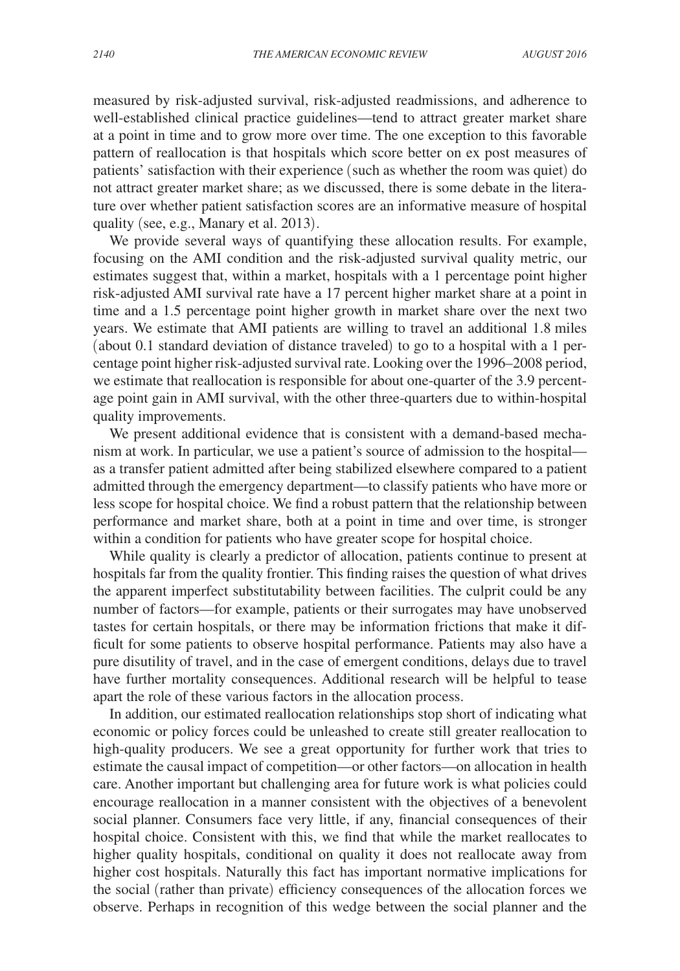measured by risk-adjusted survival, risk-adjusted readmissions, and adherence to well-established clinical practice guidelines—tend to attract greater market share at a point in time and to grow more over time. The one exception to this favorable pattern of reallocation is that hospitals which score better on ex post measures of patients' satisfaction with their experience (such as whether the room was quiet) do not attract greater market share; as we discussed, there is some debate in the literature over whether patient satisfaction scores are an informative measure of hospital quality (see, e.g., Manary et al. 2013).

We provide several ways of quantifying these allocation results. For example, focusing on the AMI condition and the risk-adjusted survival quality metric, our estimates suggest that, within a market, hospitals with a 1 percentage point higher risk-adjusted AMI survival rate have a 17 percent higher market share at a point in time and a 1.5 percentage point higher growth in market share over the next two years. We estimate that AMI patients are willing to travel an additional 1.8 miles (about 0.1 standard deviation of distance traveled) to go to a hospital with a 1 percentage point higher risk-adjusted survival rate. Looking over the 1996–2008 period, we estimate that reallocation is responsible for about one-quarter of the 3.9 percentage point gain in AMI survival, with the other three-quarters due to within-hospital quality improvements.

We present additional evidence that is consistent with a demand-based mechanism at work. In particular, we use a patient's source of admission to the hospital as a transfer patient admitted after being stabilized elsewhere compared to a patient admitted through the emergency department—to classify patients who have more or less scope for hospital choice. We find a robust pattern that the relationship between performance and market share, both at a point in time and over time, is stronger within a condition for patients who have greater scope for hospital choice.

While quality is clearly a predictor of allocation, patients continue to present at hospitals far from the quality frontier. This finding raises the question of what drives the apparent imperfect substitutability between facilities. The culprit could be any number of factors—for example, patients or their surrogates may have unobserved tastes for certain hospitals, or there may be information frictions that make it difficult for some patients to observe hospital performance. Patients may also have a pure disutility of travel, and in the case of emergent conditions, delays due to travel have further mortality consequences. Additional research will be helpful to tease apart the role of these various factors in the allocation process.

In addition, our estimated reallocation relationships stop short of indicating what economic or policy forces could be unleashed to create still greater reallocation to high-quality producers. We see a great opportunity for further work that tries to estimate the causal impact of competition—or other factors—on allocation in health care. Another important but challenging area for future work is what policies could encourage reallocation in a manner consistent with the objectives of a benevolent social planner. Consumers face very little, if any, financial consequences of their hospital choice. Consistent with this, we find that while the market reallocates to higher quality hospitals, conditional on quality it does not reallocate away from higher cost hospitals. Naturally this fact has important normative implications for the social (rather than private) efficiency consequences of the allocation forces we observe. Perhaps in recognition of this wedge between the social planner and the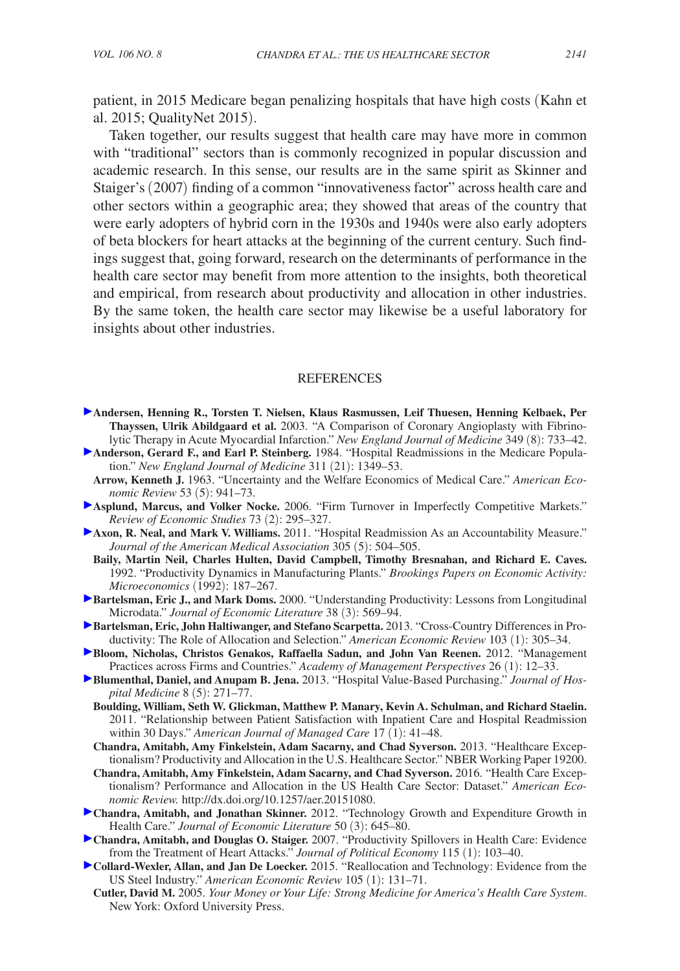patient, in 2015 Medicare began penalizing hospitals that have high costs (Kahn et al. 2015; QualityNet 2015).

Taken together, our results suggest that health care may have more in common with "traditional" sectors than is commonly recognized in popular discussion and academic research. In this sense, our results are in the same spirit as Skinner and Staiger's (2007) finding of a common "innovativeness factor" across health care and other sectors within a geographic area; they showed that areas of the country that were early adopters of hybrid corn in the 1930s and 1940s were also early adopters of beta blockers for heart attacks at the beginning of the current century. Such findings suggest that, going forward, research on the determinants of performance in the health care sector may benefit from more attention to the insights, both theoretical and empirical, from research about productivity and allocation in other industries. By the same token, the health care sector may likewise be a useful laboratory for insights about other industries.

#### **REFERENCES**

- **Andersen, Henning R., Torsten T. Nielsen, Klaus Rasmussen, Leif Thuesen, Henning Kelbaek, Per Thayssen, Ulrik Abildgaard et al.** 2003. "A Comparison of Coronary Angioplasty with Fibrinolytic Therapy in Acute Myocardial Infarction." *New England Journal of Medicine* 349 (8): 733–42.
- **Anderson, Gerard F., and Earl P. Steinberg.** 1984. "Hospital Readmissions in the Medicare Population." *New England Journal of Medicine* 311 (21): 1349–53.
- **Arrow, Kenneth J.** 1963. "Uncertainty and the Welfare Economics of Medical Care." *American Economic Review* 53 (5): 941–73.
- **Asplund, Marcus, and Volker Nocke.** 2006. "Firm Turnover in Imperfectly Competitive Markets." *Review of Economic Studies* 73 (2): 295–327.
- **Axon, R. Neal, and Mark V. Williams.** 2011. "Hospital Readmission As an Accountability Measure." *Journal of the American Medical Association* 305 (5): 504–505.
- **Baily, Martin Neil, Charles Hulten, David Campbell, Timothy Bresnahan, and Richard E. Caves.**  1992. "Productivity Dynamics in Manufacturing Plants." *Brookings Papers on Economic Activity: Microeconomics* (1992): 187–267.
- **Bartelsman, Eric J., and Mark Doms.** 2000. "Understanding Productivity: Lessons from Longitudinal Microdata." *Journal of Economic Literature* 38 (3): 569–94.
- **Bartelsman, Eric, John Haltiwanger, and Stefano Scarpetta.** 2013. "Cross-Country Differences in Productivity: The Role of Allocation and Selection." *American Economic Review* 103 (1): 305–34.
- **Bloom, Nicholas, Christos Genakos, Raffaella Sadun, and John Van Reenen.** 2012. "Management Practices across Firms and Countries." *Academy of Management Perspectives* 26 (1): 12–33.
- **Blumenthal, Daniel, and Anupam B. Jena.** 2013. "Hospital Value-Based Purchasing." *Journal of Hospital Medicine* 8 (5): 271–77.
	- **Boulding, William, Seth W. Glickman, Matthew P. Manary, Kevin A. Schulman, and Richard Staelin.**  2011. "Relationship between Patient Satisfaction with Inpatient Care and Hospital Readmission within 30 Days." *American Journal of Managed Care* 17 (1): 41–48.
	- **Chandra, Amitabh, Amy Finkelstein, Adam Sacarny, and Chad Syverson.** 2013. "Healthcare Exceptionalism? Productivity and Allocation in the U.S. Healthcare Sector." NBER Working Paper 19200.
	- **Chandra, Amitabh, Amy Finkelstein, Adam Sacarny, and Chad Syverson.** 2016. "Health Care Exceptionalism? Performance and Allocation in the US Health Care Sector: Dataset." *American Economic Review.* <http://dx.doi.org/10.1257/aer.20151080>.
- **Chandra, Amitabh, and Jonathan Skinner.** 2012. "Technology Growth and Expenditure Growth in Health Care." *Journal of Economic Literature* 50 (3): 645–80.
- **Chandra, Amitabh, and Douglas O. Staiger.** 2007. "Productivity Spillovers in Health Care: Evidence from the Treatment of Heart Attacks." *Journal of Political Economy* 115 (1): 103–40.
- **Collard-Wexler, Allan, and Jan De Loecker.** 2015. "Reallocation and Technology: Evidence from the US Steel Industry." *American Economic Review* 105 (1): 131–71.
	- **Cutler, David M.** 2005. *Your Money or Your Life: Strong Medicine for America's Health Care System*. New York: Oxford University Press.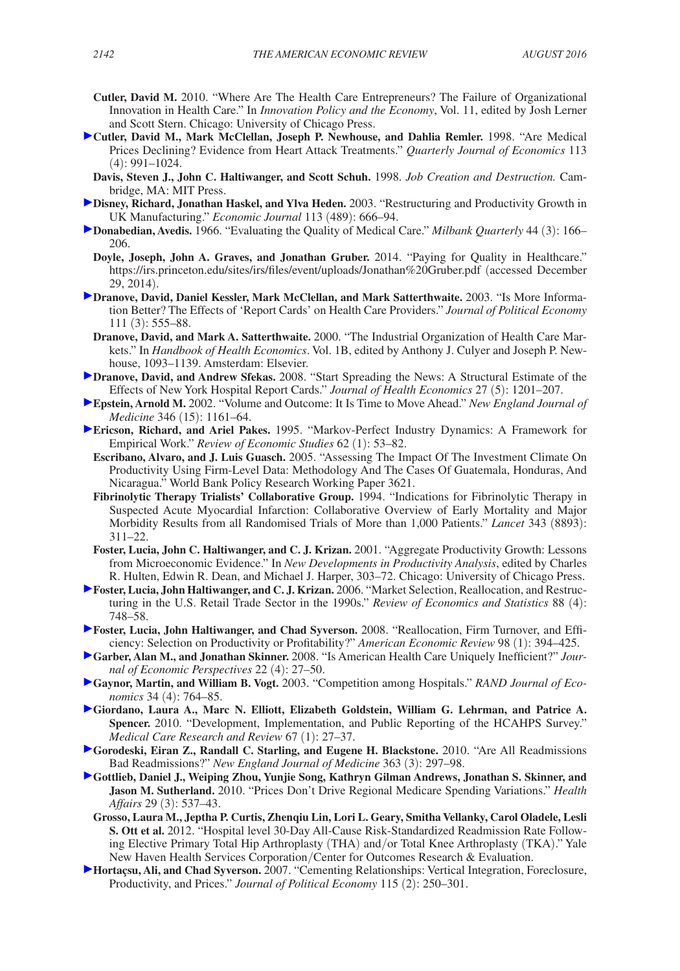- **Cutler, David M.** 2010. "Where Are The Health Care Entrepreneurs? The Failure of Organizational Innovation in Health Care." In *Innovation Policy and the Economy*, Vol. 11, edited by Josh Lerner and Scott Stern. Chicago: University of Chicago Press.
- **Cutler, David M., Mark McClellan, Joseph P. Newhouse, and Dahlia Remler.** 1998. "Are Medical Prices Declining? Evidence from Heart Attack Treatments." *Quarterly Journal of Economics* 113 (4): 991–1024.
- **Davis, Steven J., John C. Haltiwanger, and Scott Schuh.** 1998. *Job Creation and Destruction.* Cambridge, MA: MIT Press.
- **Disney, Richard, Jonathan Haskel, and Ylva Heden.** 2003. "Restructuring and Productivity Growth in UK Manufacturing." *Economic Journal* 113 (489): 666–94.
- **Donabedian, Avedis.** 1966. "Evaluating the Quality of Medical Care." *Milbank Quarterly* 44 (3): 166– 206.
	- **Doyle, Joseph, John A. Graves, and Jonathan Gruber.** 2014. "Paying for Quality in Healthcare." <https://irs.princeton.edu/sites/irs/files/event/uploads/Jonathan%20Gruber.pdf> (accessed December 29, 2014).
- **Dranove, David, Daniel Kessler, Mark McClellan, and Mark Satterthwaite.** 2003. "Is More Information Better? The Effects of 'Report Cards' on Health Care Providers." *Journal of Political Economy*  111 (3): 555–88.
	- **Dranove, David, and Mark A. Satterthwaite.** 2000. "The Industrial Organization of Health Care Markets." In *Handbook of Health Economics*. Vol. 1B, edited by Anthony J. Culyer and Joseph P. Newhouse, 1093–1139. Amsterdam: Elsevier.
- **Dranove, David, and Andrew Sfekas.** 2008. "Start Spreading the News: A Structural Estimate of the Effects of New York Hospital Report Cards." *Journal of Health Economics* 27 (5): 1201–207.
- **Epstein, Arnold M.** 2002. "Volume and Outcome: It Is Time to Move Ahead." *New England Journal of Medicine* 346 (15): 1161–64.
- **Ericson, Richard, and Ariel Pakes.** 1995. "Markov-Perfect Industry Dynamics: A Framework for Empirical Work." *Review of Economic Studies* 62 (1): 53–82.
	- **Escribano, Alvaro, and J. Luis Guasch.** 2005. "Assessing The Impact Of The Investment Climate On Productivity Using Firm-Level Data: Methodology And The Cases Of Guatemala, Honduras, And Nicaragua." World Bank Policy Research Working Paper 3621.
	- **Fibrinolytic Therapy Trialists' Collaborative Group.** 1994. "Indications for Fibrinolytic Therapy in Suspected Acute Myocardial Infarction: Collaborative Overview of Early Mortality and Major Morbidity Results from all Randomised Trials of More than 1,000 Patients." *Lancet* 343 (8893): 311–22.
	- **Foster, Lucia, John C. Haltiwanger, and C. J. Krizan.** 2001. "Aggregate Productivity Growth: Lessons from Microeconomic Evidence." In *New Developments in Productivity Analysis*, edited by Charles R. Hulten, Edwin R. Dean, and Michael J. Harper, 303–72. Chicago: University of Chicago Press.
- **Foster, Lucia, John Haltiwanger, and C. J. Krizan.** 2006. "Market Selection, Reallocation, and Restructuring in the U.S. Retail Trade Sector in the 1990s." *Review of Economics and Statistics* 88 (4): 748–58.
- **Foster, Lucia, John Haltiwanger, and Chad Syverson.** 2008. "Reallocation, Firm Turnover, and Efficiency: Selection on Productivity or Profitability?" *American Economic Review* 98 (1): 394–425.
- **Garber, Alan M., and Jonathan Skinner.** 2008. "Is American Health Care Uniquely Inefficient?" *Journal of Economic Perspectives* 22 (4): 27–50.
- **Gaynor, Martin, and William B. Vogt.** 2003. "Competition among Hospitals." *RAND Journal of Economics* 34 (4): 764–85.
- **Giordano, Laura A., Marc N. Elliott, Elizabeth Goldstein, William G. Lehrman, and Patrice A. Spencer.** 2010. "Development, Implementation, and Public Reporting of the HCAHPS Survey." *Medical Care Research and Review* 67 (1): 27–37.
- **Gorodeski, Eiran Z., Randall C. Starling, and Eugene H. Blackstone.** 2010. "Are All Readmissions Bad Readmissions?" *New England Journal of Medicine* 363 (3): 297–98.
- **Gottlieb, Daniel J., Weiping Zhou, Yunjie Song, Kathryn Gilman Andrews, Jonathan S. Skinner, and Jason M. Sutherland.** 2010. "Prices Don't Drive Regional Medicare Spending Variations." *Health Affairs* 29 (3): 537–43.
	- **Grosso, Laura M., Jeptha P. Curtis, Zhenqiu Lin, Lori L. Geary, Smitha Vellanky, Carol Oladele, Lesli S. Ott et al.** 2012. "Hospital level 30-Day All-Cause Risk-Standardized Readmission Rate Following Elective Primary Total Hip Arthroplasty (THA) and/or Total Knee Arthroplasty (TKA)." Yale New Haven Health Services Corporation/Center for Outcomes Research & Evaluation.
- **Hortaçsu, Ali, and Chad Syverson.** 2007. "Cementing Relationships: Vertical Integration, Foreclosure, Productivity, and Prices." *Journal of Political Economy* 115 (2): 250–301.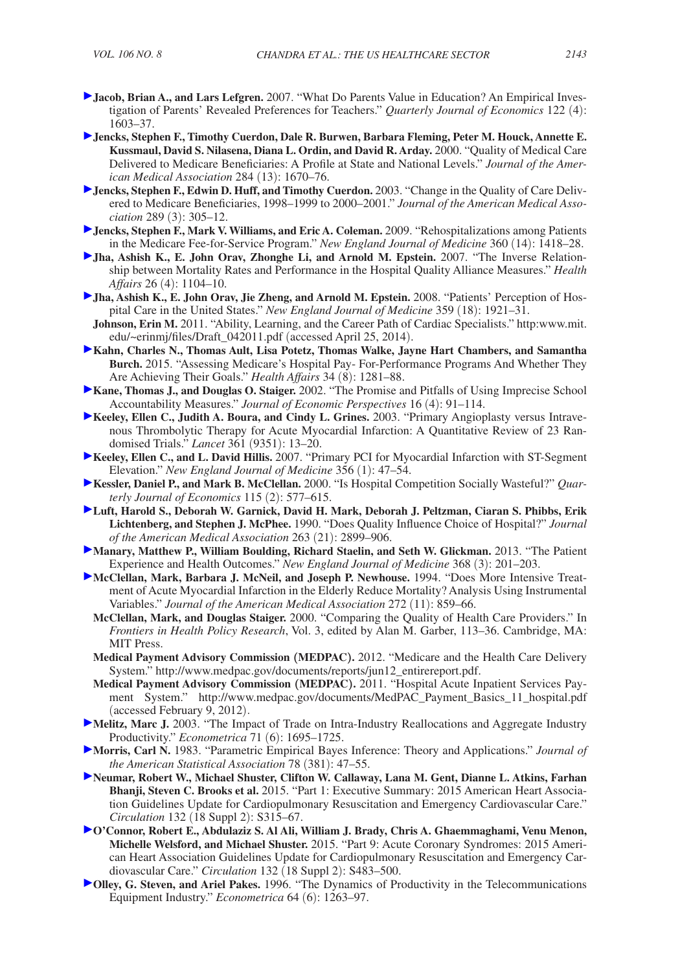- **Jacob, Brian A., and Lars Lefgren.** 2007. "What Do Parents Value in Education? An Empirical Investigation of Parents' Revealed Preferences for Teachers." *Quarterly Journal of Economics* 122 (4): 1603–37.
- **Jencks, Stephen F., Timothy Cuerdon, Dale R. Burwen, Barbara Fleming, Peter M. Houck, Annette E. Kussmaul, David S. Nilasena, Diana L. Ordin, and David R. Arday.** 2000. "Quality of Medical Care Delivered to Medicare Beneficiaries: A Profile at State and National Levels." *Journal of the American Medical Association* 284 (13): 1670–76.
- **IP**. [J](http://pubs.aeaweb.org/action/showLinks?doi=10.1257%2Faer.20151080&crossref=10.1001%2Fjama.289.3.305&citationId=p_43)encks, Stephen F., Edwin D. Huff, and Timothy Cuerdon. 2003. "Change in the Quality of Care Delivered to Medicare Beneficiaries, 1998–1999 to 2000–2001." *Journal of the American Medical Association* 289 (3): 305–12.
- **Jencks, Stephen F., Mark V. Williams, and Eric A. Coleman.** 2009. "Rehospitalizations among Patients in the Medicare Fee-for-Service Program." *New England Journal of Medicine* 360 (14): 1418–28.
- **[J](http://pubs.aeaweb.org/action/showLinks?doi=10.1257%2Faer.20151080&crossref=10.1377%2Fhlthaff.26.4.1104&citationId=p_45)ha, Ashish K., E. John Orav, Zhonghe Li, and Arnold M. Epstein.** 2007. "The Inverse Relationship between Mortality Rates and Performance in the Hospital Quality Alliance Measures." *Health Affairs* 26 (4): 1104–10.
- **[J](http://pubs.aeaweb.org/action/showLinks?doi=10.1257%2Faer.20151080&crossref=10.1056%2FNEJMsa0804116&citationId=p_46)ha, Ashish K., E. John Orav, Jie Zheng, and Arnold M. Epstein.** 2008. "Patients' Perception of Hospital Care in the United States." *New England Journal of Medicine* 359 (18): 1921–31.
- **Johnson, Erin M.** [2011. "Ability, Learning, and the Career Path of Cardiac Specialists." http:www.mit.](http://www.mit.edu/~erinmj/files/Draft_042011.pdf) edu/~erinmj/files/Draft\_042011.pdf (accessed April 25, 2014).
- **Kahn, Charles N., Thomas Ault, Lisa Potetz, Thomas Walke, Jayne Hart Chambers, and Samantha Burch.** 2015. "Assessing Medicare's Hospital Pay- For-Performance Programs And Whether They Are Achieving Their Goals." *Health Affairs* 34 (8): 1281–88.
- **[K](http://pubs.aeaweb.org/action/showLinks?doi=10.1257%2Faer.20151080&system=10.1257%2F089533002320950993&citationId=p_49)ane, Thomas J., and Douglas O. Staiger.** 2002. "The Promise and Pitfalls of Using Imprecise School Accountability Measures." *Journal of Economic Perspectives* 16 (4): 91–114.
- **[K](http://pubs.aeaweb.org/action/showLinks?doi=10.1257%2Faer.20151080&crossref=10.1016%2FS0140-6736%2803%2912113-7&citationId=p_50)eeley, Ellen C., Judith A. Boura, and Cindy L. Grines. 2003. "Primary Angioplasty versus Intrave**nous Thrombolytic Therapy for Acute Myocardial Infarction: A Quantitative Review of 23 Randomised Trials." *Lancet* 361 (9351): 13–20.
- **[K](http://pubs.aeaweb.org/action/showLinks?doi=10.1257%2Faer.20151080&crossref=10.1056%2FNEJMct063503&citationId=p_51)eeley, Ellen C., and L. David Hillis.** 2007. "Primary PCI for Myocardial Infarction with ST-Segment Elevation." *New England Journal of Medicine* 356 (1): 47–54.
- **Kessler, Daniel P., and Mark B. McClellan.** 2000. "Is Hospital Competition Socially Wasteful?" *Quarterly Journal of Economics* 115 (2): 577–615.
- **Luft, Harold S., Deborah W. Garnick, David H. Mark, Deborah J. Peltzman, Ciaran S. Phibbs, Erik Lichtenberg, and Stephen J. McPhee.** 1990. "Does Quality Influence Choice of Hospital?" *Journal of the American Medical Association* 263 (21): 2899–906.
- **Manary, Matthew P., William Boulding, Richard Staelin, and Seth W. Glickman.** 2013. "The Patient Experience and Health Outcomes." *New England Journal of Medicine* 368 (3): 201–203.
- **McClellan, Mark, Barbara J. McNeil, and Joseph P. Newhouse.** 1994. "Does More Intensive Treatment of Acute Myocardial Infarction in the Elderly Reduce Mortality? Analysis Using Instrumental Variables." *Journal of the American Medical Association* 272 (11): 859–66.
	- **McClellan, Mark, and Douglas Staiger.** 2000. "Comparing the Quality of Health Care Providers." In *Frontiers in Health Policy Research*, Vol. 3, edited by Alan M. Garber, 113–36. Cambridge, MA: MIT Press.
	- **Medical Payment Advisory Commission (MEDPAC).** 2012. "Medicare and the Health Care Delivery System." [http://www.medpac.gov/documents/reports/jun12\\_entirereport.pdf](http://www.medpac.gov/documents/reports/jun12_entirereport.pdf).
- **Medical Payment Advisory Commission (MEDPAC).** 2011. "Hospital Acute Inpatient Services Payment System." [http://www.medpac.gov/documents/MedPAC\\_Payment\\_Basics\\_11\\_hospital.pdf](http://www.medpac.gov/documents/MedPAC_Payment_Basics_11_hospital.pdf) (accessed February 9, 2012).
- **Melitz, Marc J.** 2003. "The Impact of Trade on Intra-Industry Reallocations and Aggregate Industry Productivity." *Econometrica* 71 (6): 1695–1725.
- **Morris, Carl N.** 1983. "Parametric Empirical Bayes Inference: Theory and Applications." *Journal of the American Statistical Association* 78 (381): 47–55.
- **Neumar, Robert W., Michael Shuster, Clifton W. Callaway, Lana M. Gent, Dianne L. Atkins, Farhan Bhanji, Steven C. Brooks et al.** 2015. "Part 1: Executive Summary: 2015 American Heart Association Guidelines Update for Cardiopulmonary Resuscitation and Emergency Cardiovascular Care." *Circulation* 132 (18 Suppl 2): S315–67.
- **O'Connor, Robert E., Abdulaziz S. Al Ali, William J. Brady, Chris A. Ghaemmaghami, Venu Menon, Michelle Welsford, and Michael Shuster.** 2015. "Part 9: Acute Coronary Syndromes: 2015 American Heart Association Guidelines Update for Cardiopulmonary Resuscitation and Emergency Cardiovascular Care." *Circulation* 132 (18 Suppl 2): S483–500.
- **Olley, G. Steven, and Ariel Pakes.** 1996. "The Dynamics of Productivity in the Telecommunications Equipment Industry." *Econometrica* 64 (6): 1263–97.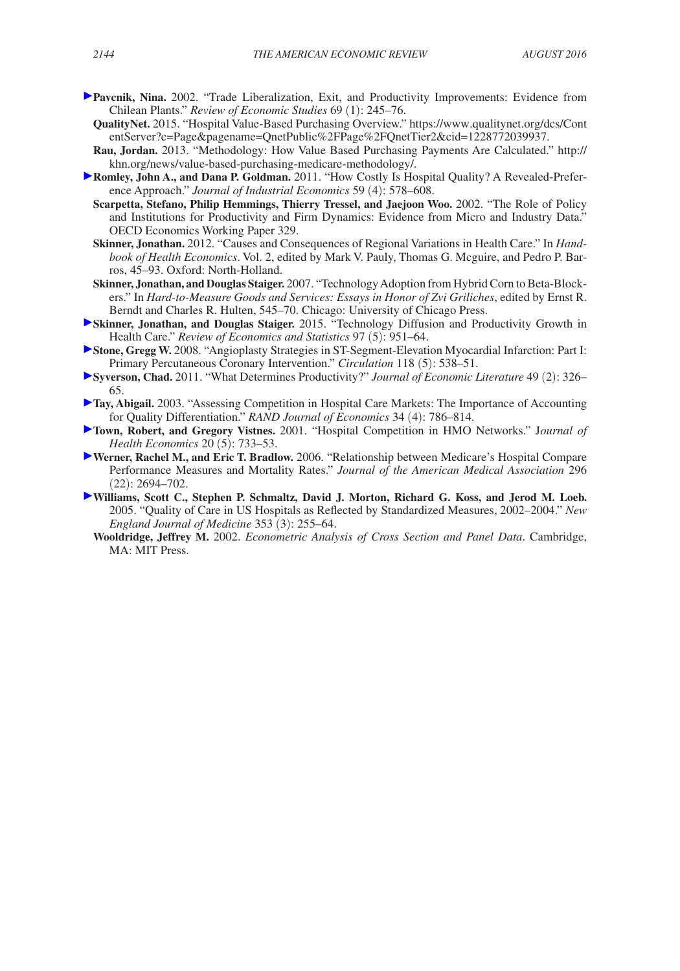- **Pavcnik, Nina.** 2002. "Trade Liberalization, Exit, and Productivity Improvements: Evidence from Chilean Plants." *Review of Economic Studies* 69 (1): 245–76.
- **QualityNet.** 2015. "Hospital Value-Based Purchasing Overview." [https://www.qualitynet.org/dcs/Cont](https://www.qualitynet.org/dcs/ContentServer?c=Page&pagename=QnetPublic%2FPage%2FQnetTier2&cid=1228772039937.) [entServer?c=Page&pagename=QnetPublic%2FPage%2FQnetTier2&cid=1228772039937.](https://www.qualitynet.org/dcs/ContentServer?c=Page&pagename=QnetPublic%2FPage%2FQnetTier2&cid=1228772039937.)
- **Rau, Jordan.** 2013. "Methodology: How Value Based Purchasing Payments Are Calculated." [http://](http://khn.org/news/value-based-purchasing-medicare-methodology/) [khn.org/news/value-based-purchasing-medicare-methodology/.](http://khn.org/news/value-based-purchasing-medicare-methodology/)
- **Romley, John A., and Dana P. Goldman.** 2011. "How Costly Is Hospital Quality? A Revealed-Preference Approach." *Journal of Industrial Economics* 59 (4): 578–608.
	- **Scarpetta, Stefano, Philip Hemmings, Thierry Tressel, and Jaejoon Woo.** 2002. "The Role of Policy and Institutions for Productivity and Firm Dynamics: Evidence from Micro and Industry Data." OECD Economics Working Paper 329.
	- **Skinner, Jonathan.** 2012. "Causes and Consequences of Regional Variations in Health Care." In *Handbook of Health Economics*. Vol. 2, edited by Mark V. Pauly, Thomas G. Mcguire, and Pedro P. Barros, 45–93. Oxford: North-Holland.
	- **Skinner, Jonathan, and Douglas Staiger.** 2007. "Technology Adoption from Hybrid Corn to Beta-Blockers." In *Hard-to-Measure Goods and Services: Essays in Honor of Zvi Griliches*, edited by Ernst R. Berndt and Charles R. Hulten, 545–70. Chicago: University of Chicago Press.
- **Skinner, Jonathan, and Douglas Staiger.** 2015. "Technology Diffusion and Productivity Growth in Health Care." *Review of Economics and Statistics* 97 (5): 951–64.
- **Stone, Gregg W.** 2008. "Angioplasty Strategies in ST-Segment-Elevation Myocardial Infarction: Part I: Primary Percutaneous Coronary Intervention." *Circulation* 118 (5): 538–51.
- **Syverson, Chad.** 2011. "What Determines Productivity?" *Journal of Economic Literature* 49 (2): 326– 65.
- **Tay, Abigail.** 2003. "Assessing Competition in Hospital Care Markets: The Importance of Accounting for Quality Differentiation." *RAND Journal of Economics* 34 (4): 786–814.
- **Town, Robert, and Gregory Vistnes.** 2001. "Hospital Competition in HMO Networks." J*ournal of Health Economics* 20 (5): 733–53.
- **Werner, Rachel M., and Eric T. Bradlow.** 2006. "Relationship between Medicare's Hospital Compare Performance Measures and Mortality Rates." *Journal of the American Medical Association* 296 (22): 2694–702.
- **Williams, Scott C., Stephen P. Schmaltz, David J. Morton, Richard G. Koss, and Jerod M. Loeb.**  2005. "Quality of Care in US Hospitals as Reflected by Standardized Measures, 2002–2004." *New England Journal of Medicine* 353 (3): 255–64.
	- **Wooldridge, Jeffrey M.** 2002. *Econometric Analysis of Cross Section and Panel Data*. Cambridge, MA: MIT Press.